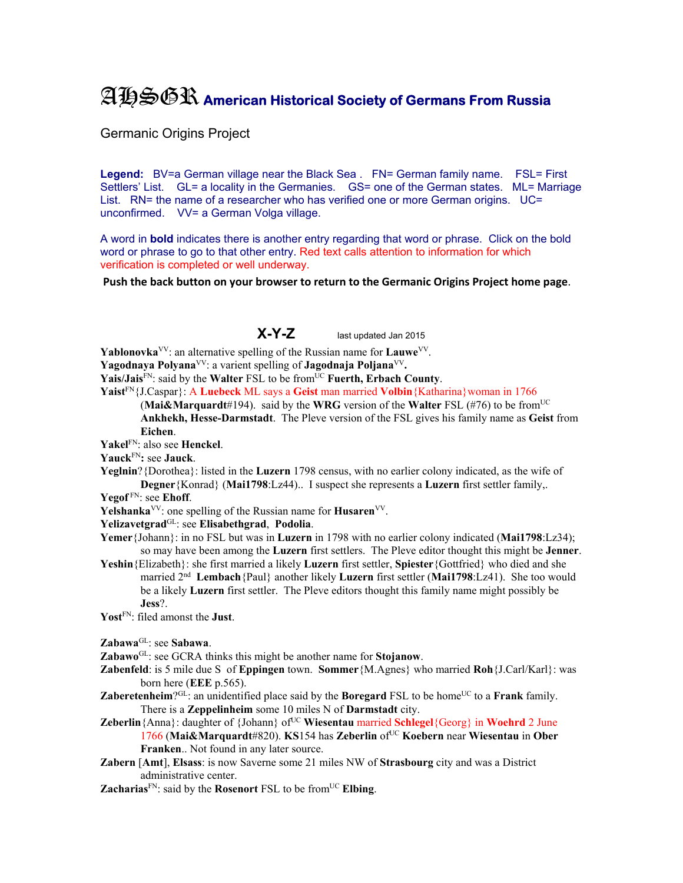## AHSGR **American Historical Society of Germans From Russia**

Germanic Origins Project

Legend: BV=a German village near the Black Sea . FN= German family name. FSL= First Settlers' List. GL= a locality in the Germanies. GS= one of the German states. ML= Marriage List. RN= the name of a researcher who has verified one or more German origins. UC= unconfirmed. VV= a German Volga village.

A word in **bold** indicates there is another entry regarding that word or phrase. Click on the bold word or phrase to go to that other entry. Red text calls attention to information for which verification is completed or well underway.

**Push the back button on your browser to return to the Germanic Origins Project home page**.

## **X-Y-Z** last updated Jan 2015

**Yablonovka**<sup>VV</sup>: an alternative spelling of the Russian name for **Lauwe**<sup>VV</sup>.

**Yagodnaya Polyana**VV: a varient spelling of **Jagodnaja Poljana**VV**.** 

Yais/Jais<sup>FN</sup>: said by the Walter FSL to be from<sup>UC</sup> Fuerth, Erbach County.

**Yaist**FN{J.Caspar}: A **Luebeck** ML says a **Geist** man married **Volbin**{Katharina}woman in 1766

(**Mai&Marquardt**#194). said by the **WRG** version of the **Walter** FSL (#76) to be fromUC **Ankhekh, Hesse-Darmstadt**. The Pleve version of the FSL gives his family name as **Geist** from **Eichen**.

**Yakel**FN: also see **Henckel**.

**Yauck**FN**:** see **Jauck**.

**Yeglnin**?{Dorothea}: listed in the **Luzern** 1798 census, with no earlier colony indicated, as the wife of **Degner**{Konrad} (**Mai1798**:Lz44).. I suspect she represents a **Luzern** first settler family,.

**Yegof** FN: see **Ehoff**.

**Yelshanka**<sup>VV</sup>: one spelling of the Russian name for **Husaren**<sup>VV</sup>.

**Yelizavetgrad**GL: see **Elisabethgrad**, **Podolia**.

**Yemer**{Johann}: in no FSL but was in **Luzern** in 1798 with no earlier colony indicated (**Mai1798**:Lz34); so may have been among the **Luzern** first settlers. The Pleve editor thought this might be **Jenner**.

**Yeshin**{Elizabeth}: she first married a likely **Luzern** first settler, **Spiester**{Gottfried} who died and she married 2nd **Lembach**{Paul} another likely **Luzern** first settler (**Mai1798**:Lz41). She too would be a likely **Luzern** first settler. The Pleve editors thought this family name might possibly be **Jess**?.

**Yost**FN: filed amonst the **Just**.

**Zabawa**GL: see **Sabawa**.

**Zabawo**GL: see GCRA thinks this might be another name for **Stojanow**.

**Zabenfeld**: is 5 mile due S of **Eppingen** town. **Sommer**{M.Agnes} who married **Roh**{J.Carl/Karl}: was born here (**EEE** p.565).

- **Zaberetenheim**?<sup>GL</sup>: an unidentified place said by the **Boregard** FSL to be home<sup>UC</sup> to a **Frank** family. There is a **Zeppelinheim** some 10 miles N of **Darmstadt** city.
- Zeberlin {Anna}: daughter of {Johann} of<sup>UC</sup> Wiesentau married Schlegel {Georg} in Woehrd 2 June 1766 (**Mai&Marquardt**#820). **KS**154 has **Zeberlin** ofUC **Koebern** near **Wiesentau** in **Ober Franken**.. Not found in any later source.
- **Zabern** [**Amt**], **Elsass**: is now Saverne some 21 miles NW of **Strasbourg** city and was a District administrative center.

**Zacharias**FN: said by the **Rosenort** FSL to be fromUC **Elbing**.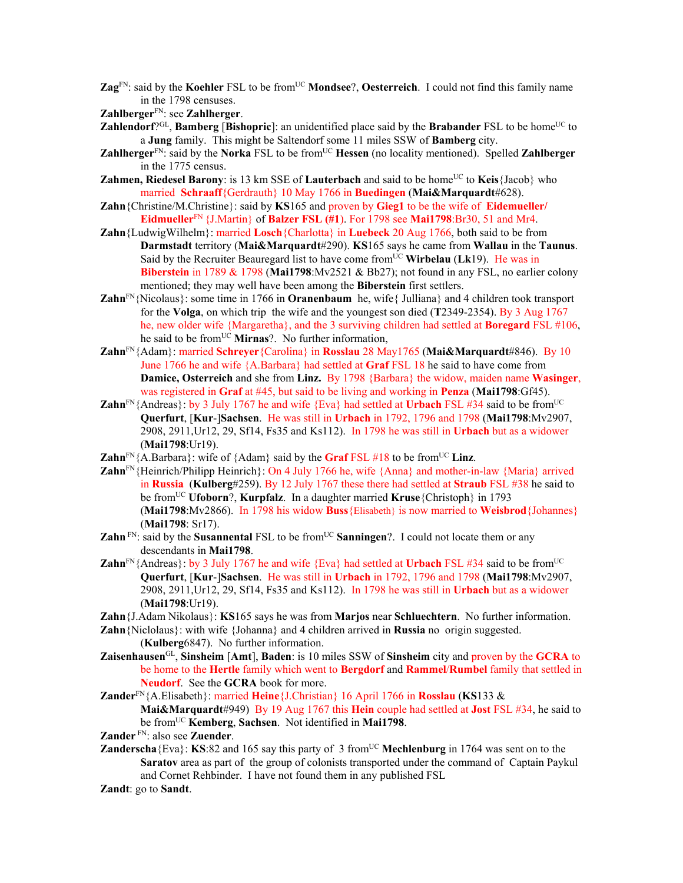**Zag**<sup>FN</sup>: said by the **Koehler** FSL to be from<sup>UC</sup> **Mondsee**?, **Oesterreich**. I could not find this family name in the 1798 censuses.

**Zahlberger**FN: see **Zahlherger**.

- **Zahlendorf**<sup>?GL</sup>, **Bamberg** [Bishopric]: an unidentified place said by the Brabander FSL to be home<sup>UC</sup> to a **Jung** family. This might be Saltendorf some 11 miles SSW of **Bamberg** city.
- **Zahlherger**<sup>FN</sup>: said by the **Norka** FSL to be from<sup>UC</sup> **Hessen** (no locality mentioned). Spelled **Zahlberger** in the 1775 census.
- **Zahmen, Riedesel Barony**: is 13 km SSE of **Lauterbach** and said to be home<sup>UC</sup> to **Keis**{Jacob} who married **Schraaff**{Gerdrauth} 10 May 1766 in **Buedingen** (**Mai&Marquardt**#628).
- **Zahn**{Christine/M.Christine}: said by **KS**165 and proven by **Gieg1** to be the wife of **Eidemueller/ Eidmueller**FN {J.Martin} of **Balzer FSL (#1**). For 1798 see **Mai1798**:Br30, 51 and Mr4.
- **Zahn**{LudwigWilhelm}: married **Losch**{Charlotta} in **Luebeck** 20 Aug 1766, both said to be from **Darmstadt** territory (**Mai&Marquardt**#290). **KS**165 says he came from **Wallau** in the **Taunus**. Said by the Recruiter Beauregard list to have come from<sup>UC</sup> Wirbelau (Lk19). He was in **Biberstein** in 1789 & 1798 (**Mai1798**:Mv2521 & Bb27); not found in any FSL, no earlier colony mentioned; they may well have been among the **Biberstein** first settlers.
- **Zahn**<sup>FN</sup>{Nicolaus}: some time in 1766 in **Oranenbaum** he, wife{ Julliana} and 4 children took transport for the **Volga**, on which trip the wife and the youngest son died (**T**2349-2354). By 3 Aug 1767 he, new older wife {Margaretha}, and the 3 surviving children had settled at **Boregard** FSL #106, he said to be from<sup>UC</sup> Mirnas?. No further information,
- **Zahn**FN{Adam}: married **Schreyer**{Carolina} in **Rosslau** 28 May1765 (**Mai&Marquardt**#846). By 10 June 1766 he and wife {A.Barbara} had settled at **Graf** FSL 18 he said to have come from **Damice, Osterreich** and she from **Linz.** By 1798 {Barbara} the widow, maiden name **Wasinger**, was registered in **Graf** at #45, but said to be living and working in **Penza** (**Mai1798**:Gf45).
- **Zahn**<sup>FN</sup>{Andreas}: by 3 July 1767 he and wife {Eva} had settled at **Urbach** FSL #34 said to be from<sup>UC</sup> **Querfurt**, [**Kur**-]**Sachsen**. He was still in **Urbach** in 1792, 1796 and 1798 (**Mai1798**:Mv2907, 2908, 2911,Ur12, 29, Sf14, Fs35 and Ks112). In 1798 he was still in **Urbach** but as a widower (**Mai1798**:Ur19).
- **Zahn**<sup>FN</sup>{A.Barbara}: wife of {Adam} said by the **Graf** FSL #18 to be from<sup>UC</sup> Linz.
- **Zahn**FN{Heinrich/Philipp Heinrich}: On 4 July 1766 he, wife {Anna} and mother-in-law {Maria} arrived in **Russia** (**Kulberg**#259). By 12 July 1767 these there had settled at **Straub** FSL #38 he said to be fromUC **Ufoborn**?, **Kurpfalz**. In a daughter married **Kruse**{Christoph} in 1793 (**Mai1798**:Mv2866). In 1798 his widow **Buss**{Elisabeth} is now married to **Weisbrod**{Johannes} (**Mai1798**: Sr17).
- **Zahn**  $\text{FN}$ : said by the **Susannental** FSL to be from  $\text{UC}$  **Sanningen**?. I could not locate them or any descendants in **Mai1798**.
- **Zahn**<sup>FN</sup>{Andreas}: by 3 July 1767 he and wife {Eva} had settled at **Urbach** FSL #34 said to be from<sup>UC</sup> **Querfurt**, [**Kur**-]**Sachsen**. He was still in **Urbach** in 1792, 1796 and 1798 (**Mai1798**:Mv2907, 2908, 2911,Ur12, 29, Sf14, Fs35 and Ks112). In 1798 he was still in **Urbach** but as a widower (**Mai1798**:Ur19).
- **Zahn**{J.Adam Nikolaus}: **KS**165 says he was from **Marjos** near **Schluechtern**. No further information.
- **Zahn**{Niclolaus}: with wife {Johanna} and 4 children arrived in **Russia** no origin suggested. (**Kulberg**6847). No further information.
- **Zaisenhausen**GL, **Sinsheim** [**Amt**], **Baden**: is 10 miles SSW of **Sinsheim** city and proven by the **GCRA** to be home to the **Hertle** family which went to **Bergdorf** and **Rammel**/**Rumbel** family that settled in **Neudorf**. See the **GCRA** book for more.
- **Zander**FN{A.Elisabeth}: married **Heine**{J.Christian} 16 April 1766 in **Rosslau** (**KS**133 & **Mai&Marquardt**#949) By 19 Aug 1767 this **Hein** couple had settled at **Jost** FSL #34, he said to be fromUC **Kemberg**, **Sachsen**. Not identified in **Mai1798**.
- **Zander** FN: also see **Zuender**.
- **Zanderscha**{Eva}: **KS**:82 and 165 say this party of 3 from<sup>UC</sup> Mechlenburg in 1764 was sent on to the **Saratov** area as part of the group of colonists transported under the command of Captain Paykul and Cornet Rehbinder. I have not found them in any published FSL
- **Zandt**: go to **Sandt**.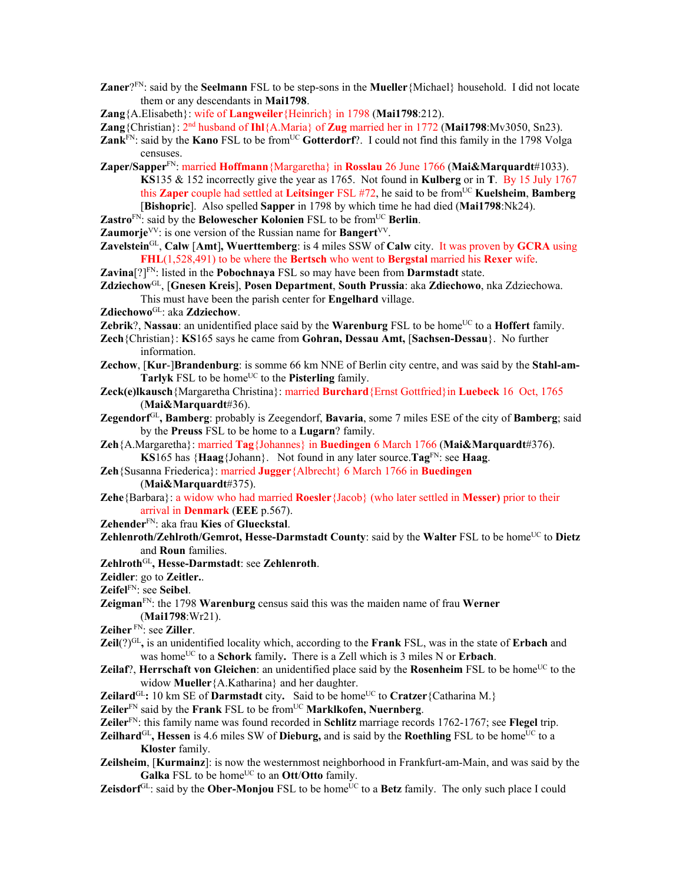**Zaner**?FN: said by the **Seelmann** FSL to be step-sons in the **Mueller**{Michael} household. I did not locate them or any descendants in **Mai1798**.

**Zang**{A.Elisabeth}: wife of **Langweiler**{Heinrich} in 1798 (**Mai1798**:212).

- **Zang**{Christian}: 2nd husband of **Ihl**{A.Maria} of **Zug** married her in 1772 (**Mai1798**:Mv3050, Sn23).
- **Zank**<sup>FN</sup>: said by the **Kano** FSL to be from<sup>UC</sup> **Gotterdorf**?. I could not find this family in the 1798 Volga censuses.
- **Zaper/Sapper**FN: married **Hoffmann**{Margaretha} in **Rosslau** 26 June 1766 (**Mai&Marquardt**#1033). **KS**135 & 152 incorrectly give the year as 1765. Not found in **Kulberg** or in **T**. By 15 July 1767 this **Zaper** couple had settled at **Leitsinger** FSL #72, he said to be fromUC **Kuelsheim**, **Bamberg** [**Bishopric**]. Also spelled **Sapper** in 1798 by which time he had died (**Mai1798**:Nk24).
- **Zastro**<sup>FN</sup>: said by the **Belowescher Kolonien** FSL to be from<sup>UC</sup> **Berlin**.
- **Zaumorje**<sup>VV</sup>: is one version of the Russian name for **Bangert**<sup>VV</sup>.
- **Zavelstein**GL, **Calw** [**Amt**]**, Wuerttemberg**: is 4 miles SSW of **Calw** city. It was proven by **GCRA** using **FHL**(1,528,491) to be where the **Bertsch** who went to **Bergstal** married his **Rexer** wife.

**Zavina**<sup>[?]FN</sup>: listed in the **Pobochnava** FSL so may have been from **Darmstadt** state.

- **Zdziechow**GL, [**Gnesen Kreis**], **Posen Department**, **South Prussia**: aka **Zdiechowo**, nka Zdziechowa. This must have been the parish center for **Engelhard** village.
- **Zdiechowo**GL: aka **Zdziechow**.
- **Zebrik**?, **Nassau**: an unidentified place said by the **Warenburg** FSL to be home<sup>UC</sup> to a **Hoffert** family.
- **Zech**{Christian}: **KS**165 says he came from **Gohran, Dessau Amt,** [**Sachsen-Dessau**}. No further information.
- **Zechow**, [**Kur**-]**Brandenburg**: is somme 66 km NNE of Berlin city centre, and was said by the **Stahl-am-Tarlyk** FSL to be home<sup>UC</sup> to the **Pisterling** family.
- **Zeck(e)lkausch**{Margaretha Christina}: married **Burchard**{Ernst Gottfried}in **Luebeck** 16 Oct, 1765 (**Mai&Marquardt**#36).
- **Zegendorf**GL**, Bamberg**: probably is Zeegendorf, **Bavaria**, some 7 miles ESE of the city of **Bamberg**; said by the **Preuss** FSL to be home to a **Lugarn**? family.
- **Zeh**{A.Margaretha}: married **Tag**{Johannes} in **Buedingen** 6 March 1766 (**Mai&Marquardt**#376). **KS**165 has  ${Haag}$ {Johann}. Not found in any later source.**Tag**<sup>FN</sup>: see **Haag**.
- **Zeh**{Susanna Friederica}: married **Jugger**{Albrecht} 6 March 1766 in **Buedingen**

(**Mai&Marquardt**#375).

**Zehe**{Barbara}: a widow who had married **Roesler**{Jacob} (who later settled in **Messer)** prior to their arrival in **Denmark** (**EEE** p.567).

**Zehender**FN: aka frau **Kies** of **Glueckstal**.

- **Zehlenroth/Zehlroth/Gemrot, Hesse-Darmstadt County**: said by the Walter FSL to be home<sup>UC</sup> to Dietz and **Roun** families.
- **Zehlroth**GL**, Hesse-Darmstadt**: see **Zehlenroth**.

**Zeidler**: go to **Zeitler.**.

**Zeifel**FN: see **Seibel**.

- **Zeigman**FN: the 1798 **Warenburg** census said this was the maiden name of frau **Werner** (**Mai1798**:Wr21).
- **Zeiher** FN: see **Ziller**.
- **Zeil**(?)<sup>GL</sup>, is an unidentified locality which, according to the **Frank** FSL, was in the state of **Erbach** and was homeUC to a **Schork** family**.** There is a Zell which is 3 miles N or **Erbach**.
- **Zeilaf**?, **Herrschaft von Gleichen**: an unidentified place said by the **Rosenheim** FSL to be home<sup>UC</sup> to the widow **Mueller**{A.Katharina} and her daughter.
- **Zeilard**<sup>GL</sup>: 10 km SE of **Darmstadt** city. Said to be home<sup>UC</sup> to **Cratzer**{Catharina M.}
- **Zeiler**<sup>FN</sup> said by the **Frank** FSL to be from<sup>UC</sup> **Marklkofen**, **Nuernberg**.
- **Zeiler**FN: this family name was found recorded in **Schlitz** marriage records 1762-1767; see **Flegel** trip.
- **Zeilhard**<sup>GL</sup>, **Hessen** is 4.6 miles SW of **Dieburg**, and is said by the **Roethling** FSL to be home<sup>UC</sup> to a **Kloster** family.
- **Zeilsheim**, [**Kurmainz**]: is now the westernmost neighborhood in Frankfurt-am-Main, and was said by the **Galka** FSL to be home<sup>UC</sup> to an **Ott/Otto** family.
- **Zeisdorf**<sup>GL</sup>: said by the **Ober-Monjou** FSL to be home<sup>UC</sup> to a **Betz** family. The only such place I could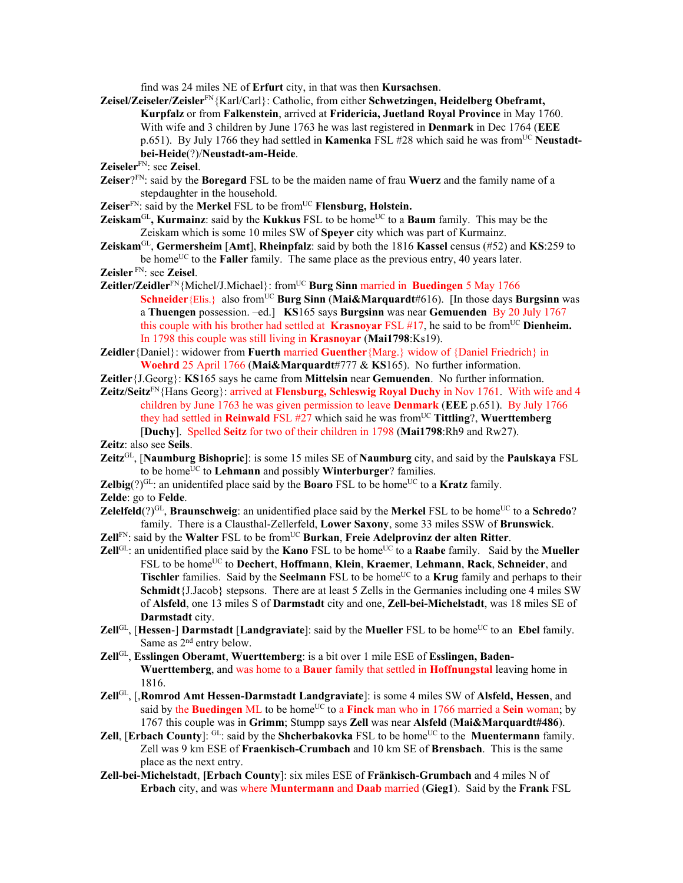find was 24 miles NE of **Erfurt** city, in that was then **Kursachsen**.

- **Zeisel/Zeiseler/Zeisler**FN{Karl/Carl}: Catholic, from either **Schwetzingen, Heidelberg Obeframt, Kurpfalz** or from **Falkenstein**, arrived at **Fridericia, Juetland Royal Province** in May 1760. With wife and 3 children by June 1763 he was last registered in **Denmark** in Dec 1764 (**EEE** p.651). By July 1766 they had settled in **Kamenka** FSL #28 which said he was from<sup>UC</sup> **Neustadtbei-Heide**(?)/**Neustadt-am-Heide**.
- **Zeiseler**FN: see **Zeisel**.
- **Zeiser**?FN: said by the **Boregard** FSL to be the maiden name of frau **Wuerz** and the family name of a stepdaughter in the household.
- **Zeiser**<sup>FN</sup>: said by the **Merkel** FSL to be from<sup>UC</sup> **Flensburg**, **Holstein.**
- **Zeiskam**<sup>GL</sup>, **Kurmainz**: said by the **Kukkus** FSL to be home<sup>UC</sup> to a **Baum** family. This may be the Zeiskam which is some 10 miles SW of **Speyer** city which was part of Kurmainz.
- **Zeiskam**GL, **Germersheim** [**Amt**], **Rheinpfalz**: said by both the 1816 **Kassel** census (#52) and **KS**:259 to be home<sup>UC</sup> to the **Faller** family. The same place as the previous entry, 40 years later.
- **Zeisler** FN: see **Zeisel**.
- **Zeitler/Zeidler**<sup>FN</sup>{Michel/J.Michael}: from<sup>UC</sup> **Burg Sinn** married in **Buedingen** 5 May 1766 **Schneider**{Elis.} also from<sup>UC</sup> **Burg Sinn** (Mai&Marquardt#616). [In those days **Burgsinn** was a **Thuengen** possession. –ed.] **KS**165 says **Burgsinn** was near **Gemuenden** By 20 July 1767 this couple with his brother had settled at **Krasnoyar** FSL  $#17$ , he said to be from<sup>UC</sup> **Dienheim.** In 1798 this couple was still living in **Krasnoyar** (**Mai1798**:Ks19).

**Zeidler**{Daniel}: widower from **Fuerth** married **Guenther**{Marg.} widow of {Daniel Friedrich} in **Woehrd** 25 April 1766 (**Mai&Marquardt**#777 & **KS**165). No further information.

**Zeitler**{J.Georg}: **KS**165 says he came from **Mittelsin** near **Gemuenden**. No further information.

**Zeitz/Seitz**FN{Hans Georg}: arrived at **Flensburg, Schleswig Royal Duchy** in Nov 1761. With wife and 4 children by June 1763 he was given permission to leave **Denmark** (**EEE** p.651). By July 1766 they had settled in **Reinwald** FSL #27 which said he was from<sup>UC</sup> **Tittling**?, **Wuerttemberg** [**Duchy**]. Spelled **Seitz** for two of their children in 1798 (**Mai1798**:Rh9 and Rw27).

**Zeitz**: also see **Seils**.

- **Zeitz**GL, [**Naumburg Bishopric**]: is some 15 miles SE of **Naumburg** city, and said by the **Paulskaya** FSL to be home<sup>UC</sup> to **Lehmann** and possibly **Winterburger**? families.
- **Zelbig** $(?)^{GL}$ : an unidentifed place said by the **Boaro** FSL to be home<sup>UC</sup> to a **Kratz** family.
- **Zelde**: go to **Felde**.
- **Zelelfeld**(?)<sup>GL</sup>, **Braunschweig**: an unidentified place said by the **Merkel** FSL to be home<sup>UC</sup> to a **Schredo**? family. There is a Clausthal-Zellerfeld, **Lower Saxony**, some 33 miles SSW of **Brunswick**.
- Zell<sup>FN</sup>: said by the Walter FSL to be from<sup>UC</sup> Burkan, Freie Adelprovinz der alten Ritter.
- **Zell**<sup>GL</sup>: an unidentified place said by the **Kano** FSL to be home<sup>UC</sup> to a **Raabe** family. Said by the **Mueller** FSL to be homeUC to **Dechert**, **Hoffmann**, **Klein**, **Kraemer**, **Lehmann**, **Rack**, **Schneider**, and **Tischler** families. Said by the **Seelmann** FSL to be home<sup>UC</sup> to a **Krug** family and perhaps to their **Schmidt**{J.Jacob} stepsons. There are at least 5 Zells in the Germanies including one 4 miles SW of **Alsfeld**, one 13 miles S of **Darmstadt** city and one, **Zell-bei-Michelstadt**, was 18 miles SE of **Darmstadt** city.
- **Zell**GL, [Hessen-] **Darmstadt** [Landgraviate]: said by the Mueller FSL to be home<sup>UC</sup> to an Ebel family. Same as  $2<sup>nd</sup>$  entry below.
- **Zell**GL, **Esslingen Oberamt**, **Wuerttemberg**: is a bit over 1 mile ESE of **Esslingen, Baden-Wuerttemberg**, and was home to a **Bauer** family that settled in **Hoffnungstal** leaving home in 1816.
- **Zell**GL, [,**Romrod Amt Hessen-Darmstadt Landgraviate**]: is some 4 miles SW of **Alsfeld, Hessen**, and said by the **Buedingen** ML to be home<sup>UC</sup> to a **Finck** man who in 1766 married a **Sein** woman; by 1767 this couple was in **Grimm**; Stumpp says **Zell** was near **Alsfeld** (**Mai&Marquardt#486**).
- **Zell**, [**Erbach County**]:  $GL$ : said by the **Shcherbakovka** FSL to be home<sup>UC</sup> to the **Muentermann** family. Zell was 9 km ESE of **Fraenkisch-Crumbach** and 10 km SE of **Brensbach**. This is the same place as the next entry.
- **Zell-bei-Michelstadt**, **[Erbach County**]: six miles ESE of **Fränkisch-Grumbach** and 4 miles N of **Erbach** city, and was where **Muntermann** and **Daab** married (**Gieg1**). Said by the **Frank** FSL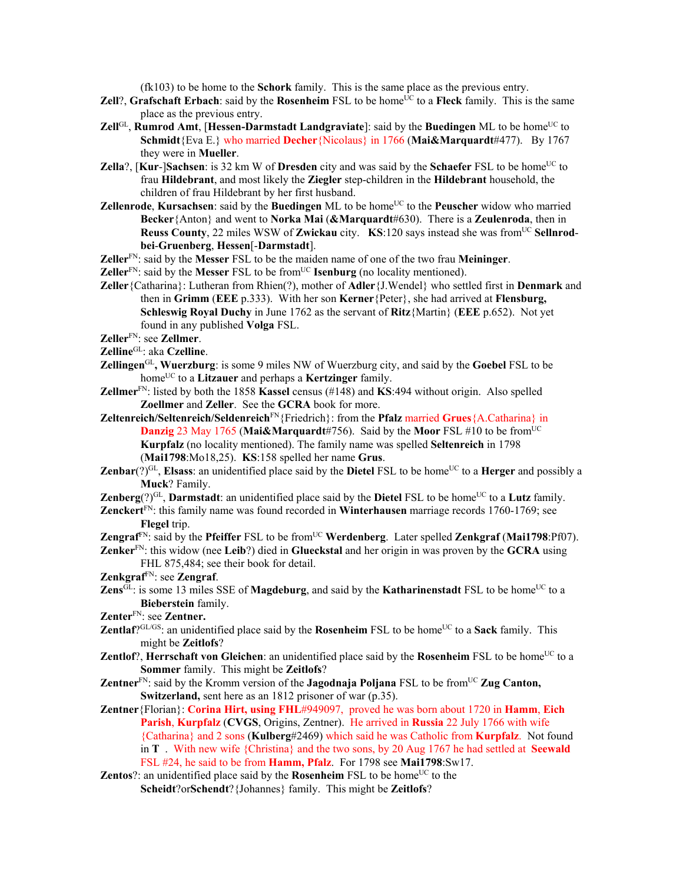(fk103) to be home to the **Schork** family. This is the same place as the previous entry.

- **Zell**?, **Grafschaft Erbach**: said by the **Rosenheim** FSL to be home<sup>UC</sup> to a Fleck family. This is the same place as the previous entry.
- **Zell**GL, **Rumrod Amt**, [Hessen-Darmstadt Landgraviate]: said by the Buedingen ML to be home<sup>UC</sup> to **Schmidt**{Eva E.} who married **Decher**{Nicolaus} in 1766 (**Mai&Marquardt**#477). By 1767 they were in **Mueller**.
- **Zella**?, [Kur-]Sachsen: is 32 km W of Dresden city and was said by the Schaefer FSL to be home<sup>UC</sup> to frau **Hildebrant**, and most likely the **Ziegler** step-children in the **Hildebrant** household, the children of frau Hildebrant by her first husband.
- **Zellenrode, Kursachsen**: said by the **Buedingen** ML to be home<sup>UC</sup> to the **Peuscher** widow who married **Becker**{Anton} and went to **Norka Mai** (**&Marquardt**#630). There is a **Zeulenroda**, then in **Reuss County**, 22 miles WSW of **Zwickau** city. **KS**:120 says instead she was from<sup>UC</sup> Sellnrod**bei**-**Gruenberg**, **Hessen**[-**Darmstadt**].
- **Zeller**FN: said by the **Messer** FSL to be the maiden name of one of the two frau **Meininger**.
- **Zeller**<sup>FN</sup>: said by the **Messer** FSL to be from<sup>UC</sup> **Isenburg** (no locality mentioned).
- **Zeller**{Catharina}: Lutheran from Rhien(?), mother of **Adler**{J.Wendel} who settled first in **Denmark** and then in **Grimm** (**EEE** p.333). With her son **Kerner**{Peter}, she had arrived at **Flensburg, Schleswig Royal Duchy** in June 1762 as the servant of **Ritz**{Martin} (**EEE** p.652). Not yet found in any published **Volga** FSL.

**Zeller**FN: see **Zellmer**.

**Zelline**GL: aka **Czelline**.

- **Zellingen**GL**, Wuerzburg**: is some 9 miles NW of Wuerzburg city, and said by the **Goebel** FSL to be home<sup>UC</sup> to a **Litzauer** and perhaps a **Kertzinger** family.
- **Zellmer**FN: listed by both the 1858 **Kassel** census (#148) and **KS**:494 without origin. Also spelled **Zoellmer** and **Zeller**. See the **GCRA** book for more.
- **Zeltenreich/Seltenreich/Seldenreich**FN{Friedrich}: from the **Pfalz** married **Grues**{A.Catharina} in **Danzig** 23 May 1765 (Mai&Marquardt#756). Said by the Moor FSL #10 to be from<sup>UC</sup> **Kurpfalz** (no locality mentioned). The family name was spelled **Seltenreich** in 1798 (**Mai1798**:Mo18,25). **KS**:158 spelled her name **Grus**.
- **Zenbar**(?)<sup>GL</sup>, **Elsass**: an unidentified place said by the **Dietel** FSL to be home<sup>UC</sup> to a **Herger** and possibly a **Muck**? Family.
- **Zenberg**(?)<sup>GL</sup>, **Darmstadt**: an unidentified place said by the **Dietel** FSL to be home<sup>UC</sup> to a Lutz family.
- **Zenckert**FN: this family name was found recorded in **Winterhausen** marriage records 1760-1769; see **Flegel** trip.
- **Zengraf**<sup>FN</sup>: said by the **Pfeiffer** FSL to be from<sup>UC</sup> **Werdenberg**. Later spelled **Zenkgraf** (Mai1798:Pf07).
- **Zenker**FN: this widow (nee **Leib**?) died in **Glueckstal** and her origin in was proven by the **GCRA** using FHL 875,484; see their book for detail.

**Zenkgraf**FN: see **Zengraf**.

- **Zens** $\overline{GL}$ : is some 13 miles SSE of **Magdeburg**, and said by the **Katharinenstadt** FSL to be home<sup>UC</sup> to a **Bieberstein** family.
- **Zenter**FN: see **Zentner.**
- **Zentlaf**?GL/GS: an unidentified place said by the **Rosenheim** FSL to be home<sup>UC</sup> to a **Sack** family. This might be **Zeitlofs**?
- **Zentlof**?, **Herrschaft von Gleichen**: an unidentified place said by the **Rosenheim** FSL to be home<sup>UC</sup> to a **Sommer** family. This might be **Zeitlofs**?
- **Zentner**<sup>FN</sup>: said by the Kromm version of the **Jagodnaja Poljana** FSL to be from<sup>UC</sup> Zug Canton, **Switzerland,** sent here as an 1812 prisoner of war (p.35).
- **Zentner**{Florian}: **Corina Hirt, using FHL**#949097, proved he was born about 1720 in **Hamm**, **Eich Parish**, **Kurpfalz** (**CVGS**, Origins, Zentner). He arrived in **Russia** 22 July 1766 with wife {Catharina} and 2 sons (**Kulberg**#2469) which said he was Catholic from **Kurpfalz**. Not found in **T** . With new wife {Christina} and the two sons, by 20 Aug 1767 he had settled at **Seewald** FSL #24, he said to be from **Hamm, Pfalz**. For 1798 see **Mai1798**:Sw17.
- **Zentos**?: an unidentified place said by the **Rosenheim** FSL to be home<sup>UC</sup> to the **Scheidt**?or**Schendt**?{Johannes} family. This might be **Zeitlofs**?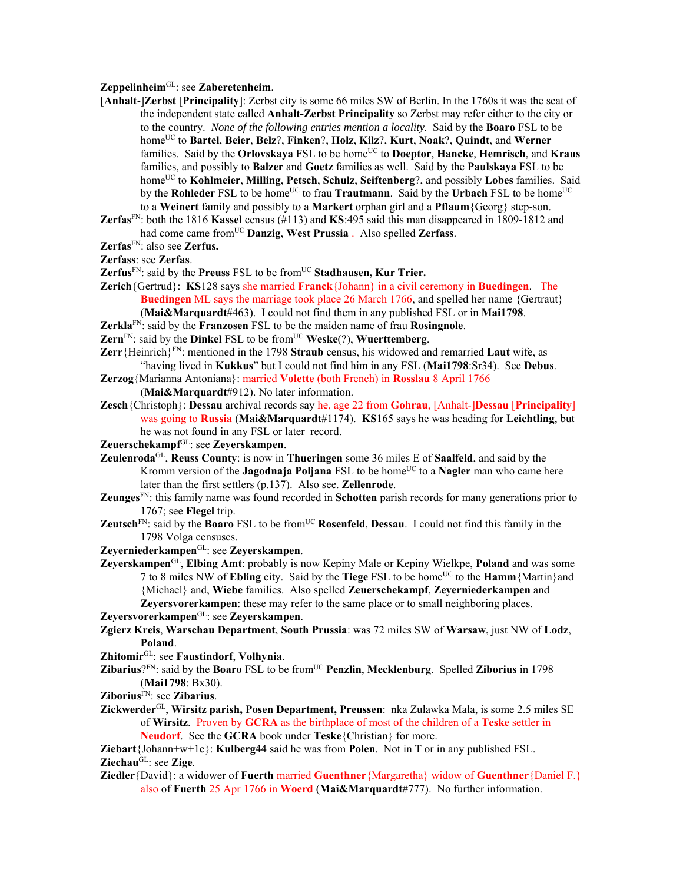## **Zeppelinheim**GL: see **Zaberetenheim**.

- [**Anhalt**-]**Zerbst** [**Principality**]: Zerbst city is some 66 miles SW of Berlin. In the 1760s it was the seat of the independent state called **Anhalt-Zerbst Principality** so Zerbst may refer either to the city or to the country. *None of the following entries mention a locality.* Said by the **Boaro** FSL to be homeUC to **Bartel**, **Beier**, **Belz**?, **Finken**?, **Holz**, **Kilz**?, **Kurt**, **Noak**?, **Quindt**, and **Werner** families. Said by the **Orlovskaya** FSL to be home<sup>UC</sup> to **Doeptor**, **Hancke**, **Hemrisch**, and **Kraus** families, and possibly to **Balzer** and **Goetz** families as well. Said by the **Paulskaya** FSL to be homeUC to **Kohlmeier**, **Milling**, **Petsch**, **Schulz**, **Seiftenberg**?, and possibly **Lobes** families. Said by the **Rohleder** FSL to be home<sup>UC</sup> to frau **Trautmann**. Said by the **Urbach** FSL to be home<sup>UC</sup> to a **Weinert** family and possibly to a **Markert** orphan girl and a **Pflaum**{Georg} step-son.
- **Zerfas**FN: both the 1816 **Kassel** census (#113) and **KS**:495 said this man disappeared in 1809-1812 and had come came fromUC **Danzig**, **West Prussia** . Also spelled **Zerfass**.
- **Zerfas**FN: also see **Zerfus.**

**Zerfass**: see **Zerfas**.

- Zerfus<sup>FN</sup>: said by the Preuss FSL to be from<sup>UC</sup> Stadhausen, Kur Trier.
- **Zerich**{Gertrud}: **KS**128 says she married **Franck**{Johann} in a civil ceremony in **Buedingen**. The **Buedingen** ML says the marriage took place 26 March 1766, and spelled her name {Gertraut} (**Mai&Marquardt**#463). I could not find them in any published FSL or in **Mai1798**.
- **Zerkla**FN: said by the **Franzosen** FSL to be the maiden name of frau **Rosingnole**.
- **Zern**<sup>FN</sup>: said by the **Dinkel** FSL to be from<sup>UC</sup> **Weske**(?), **Wuerttemberg**.
- **Zerr**{Heinrich}FN: mentioned in the 1798 **Straub** census, his widowed and remarried **Laut** wife, as "having lived in **Kukkus**" but I could not find him in any FSL (**Mai1798**:Sr34). See **Debus**.
- **Zerzog**{Marianna Antoniana}: married **Volette** (both French) in **Rosslau** 8 April 1766
	- (**Mai&Marquardt**#912). No later information.
- **Zesch**{Christoph}: **Dessau** archival records say he, age 22 from **Gohrau**, [Anhalt-]**Dessau** [**Principality**] was going to **Russia** (**Mai&Marquardt**#1174). **KS**165 says he was heading for **Leichtling**, but he was not found in any FSL or later record.
- **Zeuerschekampf**GL: see **Zeyerskampen**.
- **Zeulenroda**GL, **Reuss County**: is now in **Thueringen** some 36 miles E of **Saalfeld**, and said by the Kromm version of the **Jagodnaja Poljana** FSL to be home<sup>UC</sup> to a **Nagler** man who came here later than the first settlers (p.137). Also see. **Zellenrode**.
- **Zeunges**FN: this family name was found recorded in **Schotten** parish records for many generations prior to 1767; see **Flegel** trip.
- **Zeutsch**<sup>FN</sup>: said by the **Boaro** FSL to be from<sup>UC</sup> **Rosenfeld**, **Dessau**. I could not find this family in the 1798 Volga censuses.
- **Zeyerniederkampen**GL: see **Zeyerskampen**.
- **Zeyerskampen**GL, **Elbing Amt**: probably is now Kepiny Male or Kepiny Wielkpe, **Poland** and was some 7 to 8 miles NW of **Ebling** city. Said by the **Tiege** FSL to be homeUC to the **Hamm**{Martin}and {Michael} and, **Wiebe** families. Also spelled **Zeuerschekampf**, **Zeyerniederkampen** and **Zeyersvorerkampen**: these may refer to the same place or to small neighboring places.

**Zeyersvorerkampen**GL: see **Zeyerskampen**.

- **Zgierz Kreis**, **Warschau Department**, **South Prussia**: was 72 miles SW of **Warsaw**, just NW of **Lodz**, **Poland**.
- **Zhitomir**GL: see **Faustindorf**, **Volhynia**.
- **Zibarius**? $F_N$ : said by the **Boaro** FSL to be from<sup>UC</sup> **Penzlin**, **Mecklenburg**. Spelled **Ziborius** in 1798 (**Mai1798**: Bx30).
- **Ziborius**FN: see **Zibarius**.
- **Zickwerder**GL, **Wirsitz parish, Posen Department, Preussen**: nka Zulawka Mala, is some 2.5 miles SE of **Wirsitz**. Proven by **GCRA** as the birthplace of most of the children of a **Teske** settler in **Neudorf**. See the **GCRA** book under **Teske**{Christian} for more.

**Ziebart**{Johann+w+1c}: **Kulberg**44 said he was from **Polen**. Not in T or in any published FSL. **Ziechau**GL: see **Zige**.

**Ziedler**{David}: a widower of **Fuerth** married **Guenthner**{Margaretha} widow of **Guenthner**{Daniel F.} also of **Fuerth** 25 Apr 1766 in **Woerd** (**Mai&Marquardt**#777). No further information.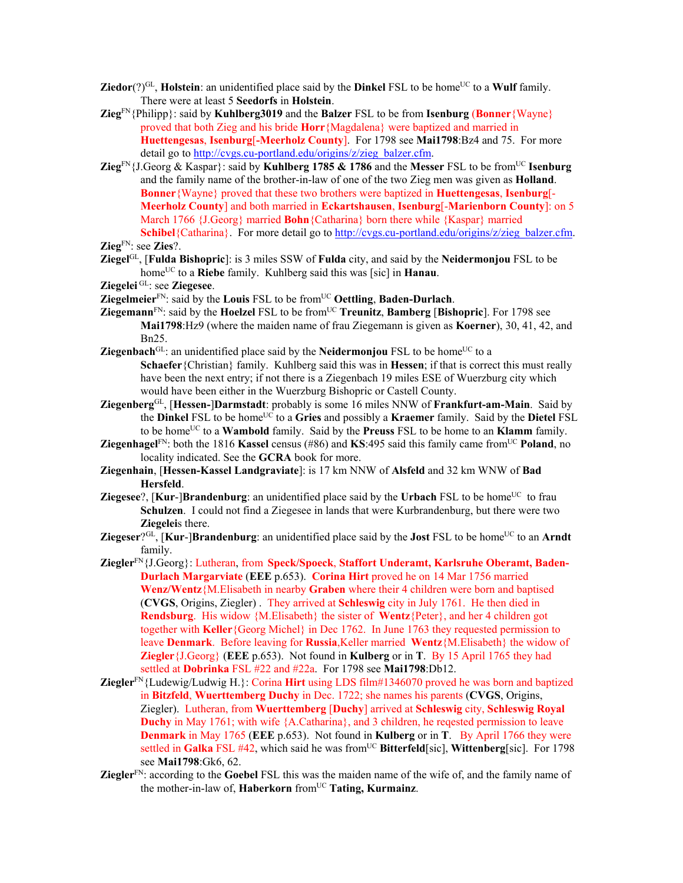- **Ziedor**(?)<sup>GL</sup>, **Holstein**: an unidentified place said by the **Dinkel** FSL to be home<sup>UC</sup> to a **Wulf** family. There were at least 5 **Seedorfs** in **Holstein**.
- **Zieg**FN{Philipp}: said by **Kuhlberg3019** and the **Balzer** FSL to be from **Isenburg** (**Bonner**{Wayne} proved that both Zieg and his bride **Horr**{Magdalena} were baptized and married in **Huettengesas**, **Isenburg**[**-Meerholz County**]. For 1798 see **Mai1798**:Bz4 and 75. For more detail go to http://cvgs.cu-portland.edu/origins/z/zieg\_balzer.cfm.
- **Zieg**FN{J.Georg & Kaspar}: said by **Kuhlberg 1785 & 1786** and the **Messer** FSL to be fromUC **Isenburg**  and the family name of the brother-in-law of one of the two Zieg men was given as **Holland**. **Bonner**{Wayne} proved that these two brothers were baptized in **Huettengesas**, **Isenburg**[- **Meerholz County**] and both married in **Eckartshausen**, **Isenburg**[-**Marienborn County**]: on 5 March 1766 {J.Georg} married **Bohn**{Catharina} born there while {Kaspar} married **Schibel**{Catharina}. For more detail go to http://cvgs.cu-portland.edu/origins/z/zieg\_balzer.cfm.

**Ziegel**GL, [**Fulda Bishopric**]: is 3 miles SSW of **Fulda** city, and said by the **Neidermonjou** FSL to be homeUC to a **Riebe** family. Kuhlberg said this was [sic] in **Hanau**.

**Ziegelei** GL: see **Ziegesee**.

- **Ziegelmeier**FN: said by the **Louis** FSL to be fromUC **Oettling**, **Baden-Durlach**.
- **Ziegemann**FN: said by the **Hoelzel** FSL to be fromUC **Treunitz**, **Bamberg** [**Bishopric**]. For 1798 see **Mai1798**:Hz9 (where the maiden name of frau Ziegemann is given as **Koerner**), 30, 41, 42, and Bn25.
- **Ziegenbach**<sup>GL</sup>: an unidentified place said by the **Neidermonjou** FSL to be home<sup>UC</sup> to a **Schaefer**{Christian} family. Kuhlberg said this was in **Hessen**; if that is correct this must really have been the next entry; if not there is a Ziegenbach 19 miles ESE of Wuerzburg city which would have been either in the Wuerzburg Bishopric or Castell County.
- **Ziegenberg**GL, [**Hessen-**]**Darmstadt**: probably is some 16 miles NNW of **Frankfurt-am-Main**. Said by the **Dinkel** FSL to be homeUC to a **Gries** and possibly a **Kraemer** family. Said by the **Dietel** FSL to be homeUC to a **Wambold** family. Said by the **Preuss** FSL to be home to an **Klamm** family.
- **Ziegenhagel**<sup>FN</sup>: both the 1816 **Kassel** census (#86) and **KS**:495 said this family came from<sup>UC</sup> Poland, no locality indicated. See the **GCRA** book for more.
- **Ziegenhain**, [**Hessen-Kassel Landgraviate**]: is 17 km NNW of **Alsfeld** and 32 km WNW of **Bad Hersfeld**.
- **Ziegesee**?,  $\kappa$ **Kur-** $\beta$ **Prandenburg**: an unidentified place said by the **Urbach** FSL to be home<sup>UC</sup> to frau **Schulzen**. I could not find a Ziegesee in lands that were Kurbrandenburg, but there were two **Ziegelei**s there.
- **Ziegeser**?<sup>GL</sup>, [**Kur-**]**Brandenburg**: an unidentified place said by the **Jost** FSL to be home<sup>UC</sup> to an **Arndt** family.
- **Ziegler**FN{J.Georg}: Lutheran, from **Speck/Spoeck**, **Staffort Underamt, Karlsruhe Oberamt, Baden-Durlach Margarviate** (**EEE** p.653). **Corina Hirt** proved he on 14 Mar 1756 married **Wenz/Wentz**{M.Elisabeth in nearby **Graben** where their 4 children were born and baptised (**CVGS**, Origins, Ziegler) . They arrived at **Schleswig** city in July 1761. He then died in **Rendsburg**. His widow {M.Elisabeth} the sister of **Wentz**{Peter}, and her 4 children got together with **Keller**{Georg Michel} in Dec 1762. In June 1763 they requested permission to leave **Denmark**. Before leaving for **Russia**,Keller married **Wentz**{M.Elisabeth} the widow of **Ziegler**{J.Georg} (**EEE** p.653). Not found in **Kulberg** or in **T**. By 15 April 1765 they had settled at **Dobrinka** FSL #22 and #22a. For 1798 see **Mai1798**:Db12.
- **Ziegler**FN{Ludewig/Ludwig H.}: Corina **Hirt** using LDS film#1346070 proved he was born and baptized in **Bitzfeld**, **Wuerttemberg Duchy** in Dec. 1722; she names his parents (**CVGS**, Origins, Ziegler). Lutheran, from **Wuerttemberg** [**Duchy**] arrived at **Schleswig** city, **Schleswig Royal Duchy** in May 1761; with wife {A.Catharina}, and 3 children, he regested permission to leave **Denmark** in May 1765 (**EEE** p.653). Not found in **Kulberg** or in **T**. By April 1766 they were settled in Galka FSL #42, which said he was from<sup>UC</sup> Bitterfeld[sic], Wittenberg[sic]. For 1798 see **Mai1798**:Gk6, 62.
- **Ziegler**FN: according to the **Goebel** FSL this was the maiden name of the wife of, and the family name of the mother-in-law of, Haberkorn from<sup>UC</sup> Tating, Kurmainz.

**Zieg**FN: see **Zies**?.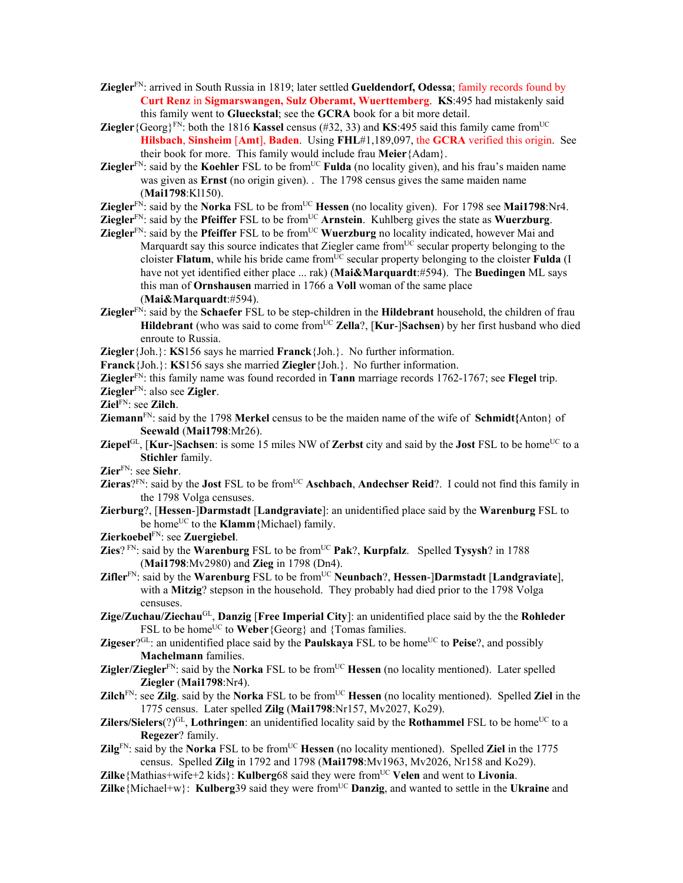- **Ziegler**FN: arrived in South Russia in 1819; later settled **Gueldendorf, Odessa**; family records found by **Curt Renz** in **Sigmarswangen, Sulz Oberamt, Wuerttemberg**. **KS**:495 had mistakenly said this family went to **Glueckstal**; see the **GCRA** book for a bit more detail.
- **Ziegler** {Georg}<sup>FN</sup>: both the 1816 **Kassel** census (#32, 33) and **KS**:495 said this family came from<sup>UC</sup> **Hilsbach**, **Sinsheim** [**Amt**], **Baden**. Using **FHL**#1,189,097, the **GCRA** verified this origin. See their book for more. This family would include frau **Meier**{Adam}.
- **Ziegler**<sup>FN</sup>: said by the **Koehler** FSL to be from<sup>UC</sup> **Fulda** (no locality given), and his frau's maiden name was given as **Ernst** (no origin given). . The 1798 census gives the same maiden name (**Mai1798**:Kl150).
- **Ziegler**<sup>FN</sup>: said by the **Norka** FSL to be from<sup>UC</sup> **Hessen** (no locality given). For 1798 see **Mai1798**:Nr4.
- **Ziegler**<sup>FN</sup>: said by the **Pfeiffer** FSL to be from<sup>UC</sup> **Arnstein**. Kuhlberg gives the state as **Wuerzburg**.
- **Ziegler**<sup>FN</sup>: said by the **Pfeiffer** FSL to be from<sup>UC</sup> **Wuerzburg** no locality indicated, however Mai and Marquardt say this source indicates that Ziegler came from<sup>UC</sup> secular property belonging to the cloister **Flatum**, while his bride came from<sup>UC</sup> secular property belonging to the cloister **Fulda** (I have not yet identified either place ... rak) (**Mai&Marquardt**:#594). The **Buedingen** ML says this man of **Ornshausen** married in 1766 a **Voll** woman of the same place (**Mai&Marquardt**:#594).
- **Ziegler**FN: said by the **Schaefer** FSL to be step-children in the **Hildebrant** household, the children of frau Hildebrant (who was said to come from<sup>UC</sup> Zella?, [Kur-]Sachsen) by her first husband who died enroute to Russia.
- **Ziegler**{Joh.}: **KS**156 says he married **Franck**{Joh.}. No further information.
- **Franck**{Joh.}: **KS**156 says she married **Ziegler**{Joh.}. No further information.
- **Ziegler**FN: this family name was found recorded in **Tann** marriage records 1762-1767; see **Flegel** trip.
- **Ziegler**FN: also see **Zigler**.
- **Ziel**FN: see **Zilch**.
- **Ziemann**<sup>FN</sup>: said by the 1798 **Merkel** census to be the maiden name of the wife of **Schmidt**{Anton} of **Seewald** (**Mai1798**:Mr26).
- **Ziepel**GL,  $[Kur-]$ **Sachsen**: is some 15 miles NW of **Zerbst** city and said by the **Jost** FSL to be home<sup>UC</sup> to a **Stichler** family.
- **Zier**FN: see **Siehr**.
- **Zieras**?FN: said by the **Jost** FSL to be fromUC **Aschbach**, **Andechser Reid**?. I could not find this family in the 1798 Volga censuses.
- **Zierburg**?, [**Hessen**-]**Darmstadt** [**Landgraviate**]: an unidentified place said by the **Warenburg** FSL to be home<sup>UC</sup> to the **Klamm** {Michael) family.
- **Zierkoebel**FN: see **Zuergiebel**.
- **Zies**?  $FK$ : said by the **Warenburg** FSL to be from<sup>UC</sup> **Pak**?, **Kurpfalz**. Spelled **Tysysh**? in 1788 (**Mai1798**:Mv2980) and **Zieg** in 1798 (Dn4).
- **Zifler**FN: said by the **Warenburg** FSL to be fromUC **Neunbach**?, **Hessen**-]**Darmstadt** [**Landgraviate**], with a **Mitzig**? stepson in the household. They probably had died prior to the 1798 Volga censuses.
- **Zige/Zuchau/Ziechau**GL, **Danzig** [**Free Imperial City**]: an unidentified place said by the the **Rohleder** FSL to be home<sup>UC</sup> to **Weber**{Georg} and {Tomas families.
- **Zigeser**?GL: an unidentified place said by the **Paulskaya** FSL to be home<sup>UC</sup> to **Peise**?, and possibly **Machelmann** families.
- **Zigler/Ziegler**<sup>FN</sup>: said by the **Norka** FSL to be from<sup>UC</sup> **Hessen** (no locality mentioned). Later spelled **Ziegler** (**Mai1798**:Nr4).
- **Zilch**<sup>FN</sup>: see **Zilg**. said by the **Norka** FSL to be from<sup>UC</sup> **Hessen** (no locality mentioned). Spelled **Ziel** in the 1775 census. Later spelled **Zilg** (**Mai1798**:Nr157, Mv2027, Ko29).
- **Zilers/Sielers**(?)<sup>GL</sup>, **Lothringen**: an unidentified locality said by the **Rothammel** FSL to be home<sup>UC</sup> to a **Regezer**? family.
- **Zilg**<sup>FN</sup>: said by the **Norka** FSL to be from<sup>UC</sup> **Hessen** (no locality mentioned). Spelled **Ziel** in the 1775 census. Spelled **Zilg** in 1792 and 1798 (**Mai1798**:Mv1963, Mv2026, Nr158 and Ko29).

**Zilke** {Mathias+wife+2 kids}: **Kulberg**68 said they were from<sup>UC</sup> Velen and went to **Livonia**.

**Zilke**{Michael+w}: **Kulberg**39 said they were from<sup>UC</sup> **Danzig**, and wanted to settle in the **Ukraine** and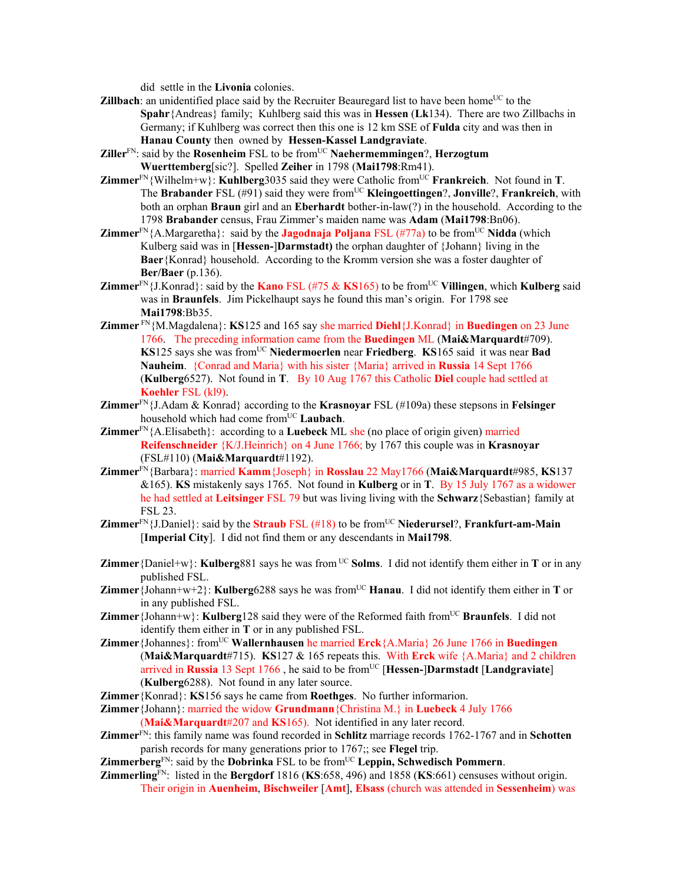did settle in the **Livonia** colonies.

- **Zillbach**: an unidentified place said by the Recruiter Beauregard list to have been home<sup>UC</sup> to the **Spahr**{Andreas} family; Kuhlberg said this was in **Hessen** (**Lk**134). There are two Zillbachs in Germany; if Kuhlberg was correct then this one is 12 km SSE of **Fulda** city and was then in **Hanau County** then owned by **Hessen-Kassel Landgraviate**.
- **Ziller**FN: said by the **Rosenheim** FSL to be fromUC **Naehermemmingen**?, **Herzogtum Wuerttemberg**[sic?]. Spelled **Zeiher** in 1798 (**Mai1798**:Rm41).
- **Zimmer**<sup>FN</sup>{Wilhelm+w}: **Kuhlberg**3035 said they were Catholic from<sup>UC</sup> **Frankreich**. Not found in **T**. The **Brabander** FSL (#91) said they were from<sup>UC</sup> **Kleingoettingen**?, **Jonville**?, **Frankreich**, with both an orphan **Braun** girl and an **Eberhardt** bother-in-law(?) in the household. According to the 1798 **Brabander** census, Frau Zimmer's maiden name was **Adam** (**Mai1798**:Bn06).
- **Zimmer**<sup>FN</sup>{A.Margaretha}: said by the **Jagodnaja Poljana** FSL (#77a) to be from<sup>UC</sup> Nidda (which Kulberg said was in [**Hessen-**]**Darmstadt)** the orphan daughter of {Johann} living in the **Baer**{Konrad} household. According to the Kromm version she was a foster daughter of **Ber/Baer** (p.136).
- **Zimmer**<sup>FN</sup>{J.Konrad}: said by the **Kano** FSL (#75 & **KS**165) to be from<sup>UC</sup> Villingen, which **Kulberg** said was in **Braunfels**. Jim Pickelhaupt says he found this man's origin. For 1798 see **Mai1798**:Bb35.
- **Zimmer** FN{M.Magdalena}: **KS**125 and 165 say she married **Diehl**{J.Konrad} in **Buedingen** on 23 June 1766. The preceding information came from the **Buedingen** ML (**Mai&Marquardt**#709). **KS**125 says she was from<sup>UC</sup> Niedermoerlen near Friedberg. **KS**165 said it was near **Bad Nauheim**. {Conrad and Maria} with his sister {Maria} arrived in **Russia** 14 Sept 1766 (**Kulberg**6527). Not found in **T**. By 10 Aug 1767 this Catholic **Diel** couple had settled at **Koehler** FSL (kl9).
- **Zimmer**FN{J.Adam & Konrad} according to the **Krasnoyar** FSL (#109a) these stepsons in **Felsinger** household which had come fromUC **Laubach**.
- **Zimmer**FN{A.Elisabeth}: according to a **Luebeck** ML she (no place of origin given) married **Reifenschneider** {K/J.Heinrich} on 4 June 1766; by 1767 this couple was in **Krasnoyar** (FSL#110) (**Mai&Marquardt**#1192).
- **Zimmer**FN{Barbara}: married **Kamm**{Joseph} in **Rosslau** 22 May1766 (**Mai&Marquardt**#985, **KS**137 &165). **KS** mistakenly says 1765.Not found in **Kulberg** or in **T**. By 15 July 1767 as a widower he had settled at **Leitsinger** FSL 79 but was living living with the **Schwarz**{Sebastian} family at FSL 23.
- **Zimmer**<sup>FN</sup>{J.Daniel}: said by the **Straub** FSL (#18) to be from<sup>UC</sup> Niederursel?, Frankfurt-am-Main [**Imperial City**].I did not find them or any descendants in **Mai1798**.
- **Zimmer** {Daniel+w}: **Kulberg**881 says he was from <sup>UC</sup> **Solms**. I did not identify them either in **T** or in any published FSL.
- **Zimmer**{Johann+w+2}: **Kulberg**6288 says he was from<sup>UC</sup> **Hanau**. I did not identify them either in **T** or in any published FSL.
- **Zimmer** {Johann+w}: **Kulberg**128 said they were of the Reformed faith from<sup>UC</sup> Braunfels. I did not identify them either in **T** or in any published FSL.
- **Zimmer**{Johannes}: fromUC **Wallernhausen** he married **Erck**{A.Maria} 26 June 1766 in **Buedingen** (**Mai&Marquardt**#715). **KS**127 & 165 repeats this. With **Erck** wife {A.Maria} and 2 children arrived in **Russia** 13 Sept 1766, he said to be from<sup>UC</sup> [Hessen-]Darmstadt [Landgraviate] (**Kulberg**6288). Not found in any later source.
- **Zimmer**{Konrad}: **KS**156 says he came from **Roethges**. No further informarion.
- **Zimmer**{Johann}: married the widow **Grundmann**{Christina M.} in **Luebeck** 4 July 1766 (**Mai&Marquardt**#207 and **KS**165). Not identified in any later record.
- **Zimmer**FN: this family name was found recorded in **Schlitz** marriage records 1762-1767 and in **Schotten** parish records for many generations prior to 1767;; see **Flegel** trip.
- **Zimmerberg**FN: said by the **Dobrinka** FSL to be fromUC **Leppin, Schwedisch Pommern**.
- **Zimmerling**FN: listed in the **Bergdorf** 1816 (**KS**:658, 496) and 1858 (**KS**:661) censuses without origin. Their origin in **Auenheim**, **Bischweiler** [**Amt**], **Elsass** (church was attended in **Sessenheim**) was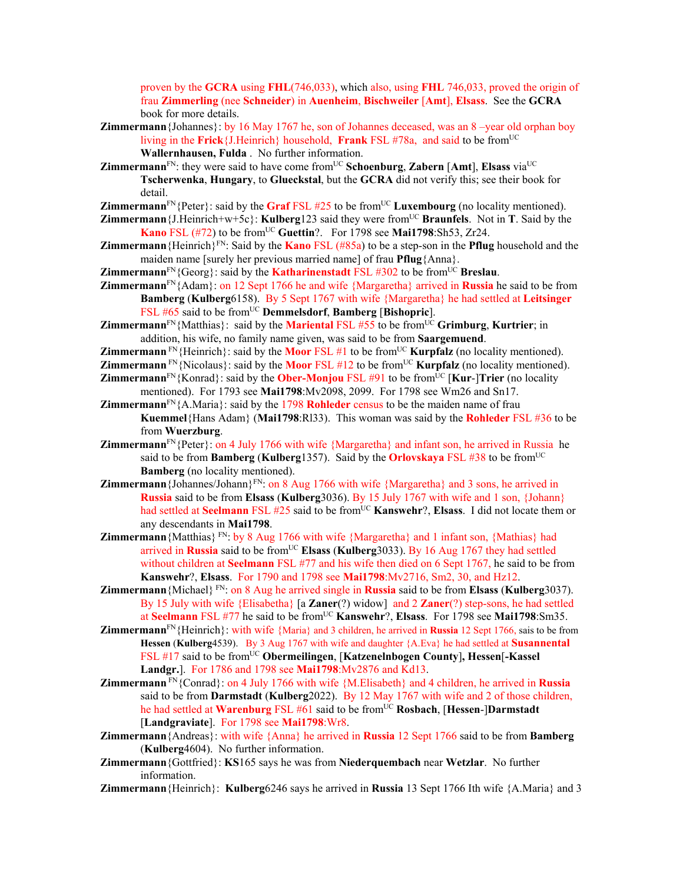proven by the **GCRA** using **FHL**(746,033), which also, using **FHL** 746,033, proved the origin of frau **Zimmerling** (nee **Schneider**) in **Auenheim**, **Bischweiler** [**Amt**], **Elsass**. See the **GCRA** book for more details.

- **Zimmermann** {Johannes}: by 16 May 1767 he, son of Johannes deceased, was an 8 –year old orphan boy living in the **Frick**{J.Heinrich} household, **Frank** FSL #78a, and said to be fromUC **Wallernhausen, Fulda** . No further information.
- **Zimmermann**<sup>FN</sup>: they were said to have come from<sup>UC</sup> Schoenburg, Zabern [Amt], Elsass via<sup>UC</sup> **Tscherwenka**, **Hungary**, to **Glueckstal**, but the **GCRA** did not verify this; see their book for detail.
- **Zimmermann**<sup>FN</sup>{Peter}: said by the **Graf** FSL  $#25$  to be from<sup>UC</sup> **Luxembourg** (no locality mentioned).
- **Zimmermann**{J.Heinrich+w+5c}: **Kulberg**123 said they were from<sup>UC</sup> **Braunfels**. Not in **T**. Said by the **Kano** FSL  $(\text{\#72})$  to be from<sup>UC</sup> Guettin?. For 1798 see Mai1798:Sh53, Zr24.
- **Zimmermann** {Heinrich}<sup>FN</sup>: Said by the **Kano** FSL (#85a) to be a step-son in the **Pflug** household and the maiden name [surely her previous married name] of frau **Pflug**{Anna}.
- **Zimmermann**<sup>FN</sup>{Georg}: said by the **Katharinenstadt** FSL #302 to be from<sup>UC</sup> **Breslau**.
- **Zimmermann**FN{Adam}: on 12 Sept 1766 he and wife {Margaretha} arrived in **Russia** he said to be from **Bamberg** (**Kulberg**6158). By 5 Sept 1767 with wife {Margaretha} he had settled at **Leitsinger** FSL #65 said to be fromUC **Demmelsdorf**, **Bamberg** [**Bishopric**].
- **Zimmermann**<sup>FN</sup>{Matthias}: said by the **Mariental** FSL #55 to be from<sup>UC</sup> Grimburg, Kurtrier; in addition, his wife, no family name given, was said to be from **Saargemuend**.
- **Zimmermann**  $\text{FN}\{\text{Heinrich}\}\$ : said by the **Moor** FSL #1 to be from<sup>UC</sup> **Kurpfalz** (no locality mentioned).
- **Zimmermann**  $\text{FN}$  {Nicolaus}: said by the **Moor** FSL #12 to be from<sup>UC</sup> **Kurpfalz** (no locality mentioned).
- **Zimmermann**<sup>FN</sup>{Konrad}: said by the **Ober-Monjou** FSL  $\#91$  to be from<sup>UC</sup> [Kur-]Trier (no locality mentioned). For 1793 see **Mai1798**:Mv2098, 2099. For 1798 see Wm26 and Sn17.
- **Zimmermann** $F_N$ {A.Maria}: said by the 1798 **Rohleder** census to be the maiden name of frau **Kuemmel**{Hans Adam} (**Mai1798**:Rl33). This woman was said by the **Rohleder** FSL #36 to be from **Wuerzburg**.
- **Zimmermann**<sup>FN</sup>{Peter}: on 4 July 1766 with wife {Margaretha} and infant son, he arrived in Russia he said to be from **Bamberg** (**Kulberg**1357). Said by the **Orlovskaya** FSL #38 to be from<sup>UC</sup> **Bamberg** (no locality mentioned).
- **Zimmermann** {Johannes/Johann}<sup>FN</sup>: on 8 Aug 1766 with wife {Margaretha} and 3 sons, he arrived in **Russia** said to be from **Elsass** (**Kulberg**3036). By 15 July 1767 with wife and 1 son, {Johann} had settled at **Seelmann** FSL #25 said to be from<sup>UC</sup> **Kanswehr**?, **Elsass**. I did not locate them or any descendants in **Mai1798**.
- **Zimmermann** {Matthias} FN: by 8 Aug 1766 with wife {Margaretha} and 1 infant son, {Mathias} had arrived in **Russia** said to be fromUC **Elsass** (**Kulberg**3033). By 16 Aug 1767 they had settled without children at **Seelmann** FSL #77 and his wife then died on 6 Sept 1767, he said to be from **Kanswehr**?, **Elsass**. For 1790 and 1798 see **Mai1798**:Mv2716, Sm2, 30, and Hz12.
- **Zimmermann**{Michael} FN: on 8 Aug he arrived single in **Russia** said to be from **Elsass** (**Kulberg**3037). By 15 July with wife {Elisabetha} [a **Zaner**(?) widow] and 2 **Zaner**(?) step-sons, he had settled at Seelmann FSL #77 he said to be from<sup>UC</sup> Kanswehr?, Elsass. For 1798 see Mai1798:Sm35.
- **Zimmermann**FN{Heinrich}: with wife {Maria} and 3 children, he arrived in **Russia** 12 Sept 1766, sais to be from **Hessen** (**Kulberg**4539). By 3 Aug 1767 with wife and daughter {A.Eva} he had settled at **Susannental** FSL #17 said to be fromUC **Obermeilingen**, [**Katzenelnbogen County**]**, Hessen**[**-Kassel Landgr.**]. For 1786 and 1798 see **Mai1798**:Mv2876 and Kd13.
- **Zimmermann** FN{Conrad}: on 4 July 1766 with wife {M.Elisabeth} and 4 children, he arrived in **Russia**  said to be from **Darmstadt** (**Kulberg**2022). By 12 May 1767 with wife and 2 of those children, he had settled at **Warenburg** FSL #61 said to be from<sup>UC</sup> Rosbach, [Hessen-]Darmstadt [**Landgraviate**]. For 1798 see **Mai1798**:Wr8.
- **Zimmermann**{Andreas}: with wife {Anna} he arrived in **Russia** 12 Sept 1766 said to be from **Bamberg** (**Kulberg**4604). No further information.
- **Zimmermann**{Gottfried}: **KS**165 says he was from **Niederquembach** near **Wetzlar**. No further information.
- **Zimmermann**{Heinrich}: **Kulberg**6246 says he arrived in **Russia** 13 Sept 1766 Ith wife {A.Maria} and 3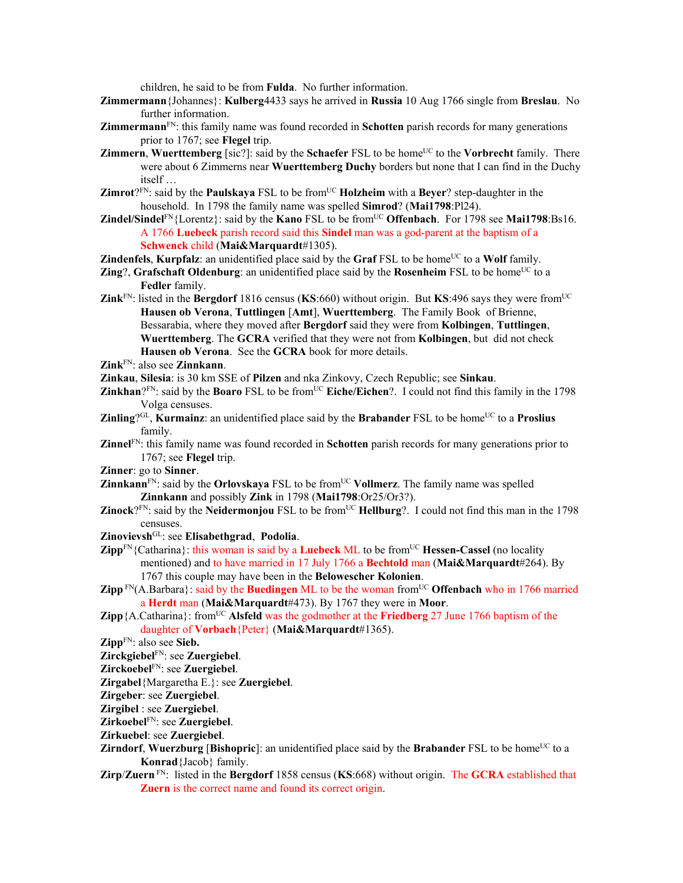children, he said to be from **Fulda**. No further information.

- **Zimmermann**{Johannes}: **Kulberg**4433 says he arrived in **Russia** 10 Aug 1766 single from **Breslau**. No further information.
- **Zimmermann**FN: this family name was found recorded in **Schotten** parish records for many generations prior to 1767; see **Flegel** trip.
- **Zimmern, Wuerttemberg** [sic?]: said by the **Schaefer** FSL to be home<sup>UC</sup> to the **Vorbrecht** family. There were about 6 Zimmerns near **Wuerttemberg Duchy** borders but none that I can find in the Duchy itself …
- **Zimrot**?<sup>FN</sup>: said by the **Paulskaya** FSL to be from<sup>UC</sup> **Holzheim** with a **Beyer**? step-daughter in the household. In 1798 the family name was spelled **Simrod**? (**Mai1798**:Pl24).
- **Zindel/Sindel**FN{Lorentz}: said by the **Kano** FSL to be from<sup>UC</sup> **Offenbach**. For 1798 see **Mai1798**:Bs16. A 1766 **Luebeck** parish record said this **Sindel** man was a god-parent at the baptism of a **Schwenck** child (**Mai&Marquardt**#1305).

**Zindenfels**, **Kurpfalz**: an unidentified place said by the **Graf** FSL to be home<sup>UC</sup> to a **Wolf** family.

- **Zing**?, **Grafschaft Oldenburg**: an unidentified place said by the **Rosenheim** FSL to be home<sup>UC</sup> to a **Fedler** family.
- **Zink**<sup>FN</sup>: listed in the **Bergdorf** 1816 census (**KS**:660) without origin. But **KS**:496 says they were from<sup>UC</sup> **Hausen ob Verona**, **Tuttlingen** [**Amt**], **Wuerttemberg**. The Family Book of Brienne, Bessarabia, where they moved after **Bergdorf** said they were from **Kolbingen**, **Tuttlingen**, **Wuerttemberg**. The **GCRA** verified that they were not from **Kolbingen**, but did not check **Hausen ob Verona**. See the **GCRA** book for more details.

- **Zinkau**, **Silesia**: is 30 km SSE of **Pilzen** and nka Zinkovy, Czech Republic; see **Sinkau**.
- **Zinkhan**? $F_N$ : said by the **Boaro** FSL to be from<sup>UC</sup> **Eiche/Eichen**?. I could not find this family in the 1798 Volga censuses.
- **Zinling**?<sup>GL</sup>, **Kurmainz**: an unidentified place said by the **Brabander** FSL to be home<sup>UC</sup> to a **Proslius** family.
- **Zinnel**FN: this family name was found recorded in **Schotten** parish records for many generations prior to 1767; see **Flegel** trip.
- **Zinner**: go to **Sinner**.
- **Zinnkann**<sup>FN</sup>: said by the **Orlovskaya** FSL to be from<sup>UC</sup> **Vollmerz**. The family name was spelled **Zinnkann** and possibly **Zink** in 1798 (**Mai1798**:Or25/Or3?).
- **Zinock**? $F_N$ : said by the **Neidermonjou** FSL to be from<sup>UC</sup> **Hellburg**?. I could not find this man in the 1798 censuses.
- **Zinovievsh**GL: see **Elisabethgrad**, **Podolia**.
- **Zipp**<sup>FN</sup>{Catharina}: this woman is said by a **Luebeck** ML to be from<sup>UC</sup> **Hessen-Cassel** (no locality mentioned) and to have married in 17 July 1766 a **Bechtold** man (**Mai&Marquardt**#264). By 1767 this couple may have been in the **Belowescher Kolonien**.
- **Zipp**  $\text{FN}(A, \text{Barbara})$ : said by the **Buedingen** ML to be the woman from<sup>UC</sup> Offenbach who in 1766 married a **Herdt** man (**Mai&Marquardt**#473). By 1767 they were in **Moor**.
- **Zipp**{A.Catharina}: from<sup>UC</sup> Alsfeld was the godmother at the **Friedberg** 27 June 1766 baptism of the daughter of **Vorbach**{Peter} (**Mai&Marquardt**#1365).

- **Zirckgiebel**FN: see **Zuergiebel**.
- **Zirckoebel**FN: see **Zuergiebel**.
- **Zirgabel**{Margaretha E.}: see **Zuergiebel**.

**Zirgeber**: see **Zuergiebel**.

- **Zirgibel** : see **Zuergiebel**.
- **Zirkoebel**FN: see **Zuergiebel**.
- **Zirkuebel**: see **Zuergiebel**.
- **Zirndorf**, **Wuerzburg [Bishopric**]: an unidentified place said by the **Brabander** FSL to be home<sup>UC</sup> to a **Konrad**{Jacob} family.
- **Zirp**/**Zuern** FN: listed in the **Bergdorf** 1858 census (**KS**:668) without origin. The **GCRA** established that **Zuern** is the correct name and found its correct origin.

**Zink**FN: also see **Zinnkann**.

**Zipp**FN: also see **Sieb.**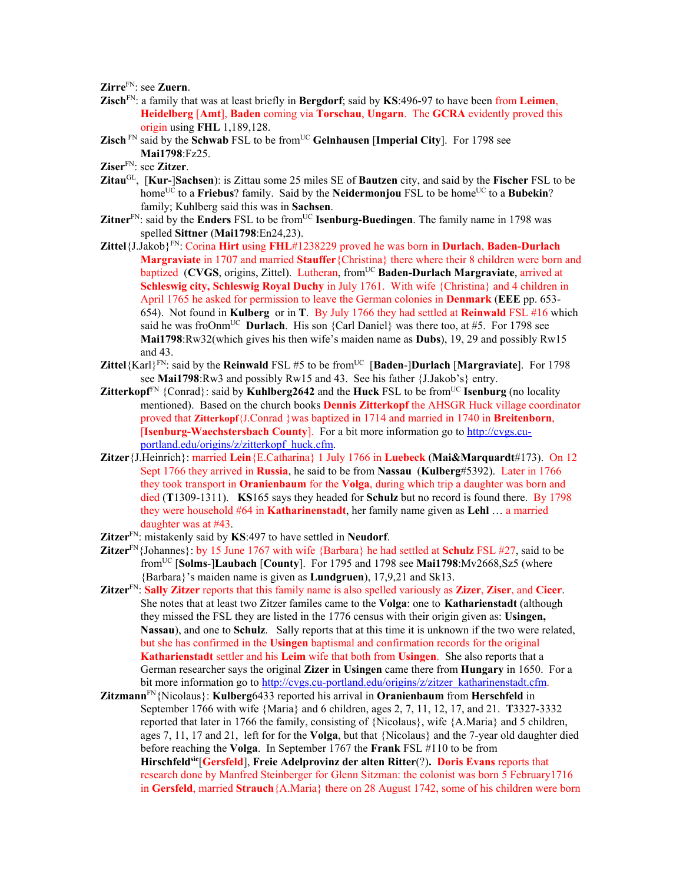**Zirre**FN: see **Zuern**.

- **Zisch**FN: a family that was at least briefly in **Bergdorf**; said by **KS**:496-97 to have been from **Leimen**, **Heidelberg** [**Amt**], **Baden** coming via **Torschau**, **Ungarn**. The **GCRA** evidently proved this origin using **FHL** 1,189,128.
- **Zisch**<sup>FN</sup> said by the **Schwab** FSL to be from<sup>UC</sup> Gelnhausen [Imperial City]. For 1798 see **Mai1798**:Fz25.
- **Ziser**FN: see **Zitzer**.
- **Zitau**GL, [**Kur-**]**Sachsen**): is Zittau some 25 miles SE of **Bautzen** city, and said by the **Fischer** FSL to be home<sup>UC</sup> to a **Friebus**? family. Said by the **Neidermonjou** FSL to be home<sup>UC</sup> to a **Bubekin**? family; Kuhlberg said this was in **Sachsen**.
- Zitner<sup>FN</sup>: said by the Enders FSL to be from<sup>UC</sup> Isenburg-Buedingen. The family name in 1798 was spelled **Sittner** (**Mai1798**:En24,23).
- **Zittel**{J.Jakob}FN: Corina **Hirt** using **FHL**#1238229 proved he was born in **Durlach**, **Baden-Durlach Margraviate** in 1707 and married **Stauffer**{Christina} there where their 8 children were born and baptized (CVGS, origins, Zittel). Lutheran, from<sup>UC</sup> Baden-Durlach Margraviate, arrived at **Schleswig city, Schleswig Royal Duchy** in July 1761. With wife {Christina} and 4 children in April 1765 he asked for permission to leave the German colonies in **Denmark** (**EEE** pp. 653- 654). Not found in **Kulberg** or in **T**. By July 1766 they had settled at **Reinwald** FSL #16 which said he was froOnm<sup>UC</sup> **Durlach**. His son {Carl Daniel} was there too, at #5. For 1798 see **Mai1798**:Rw32(which gives his then wife's maiden name as **Dubs**), 19, 29 and possibly Rw15 and 43.
- **Zittel**{Karl}<sup>FN</sup>: said by the **Reinwald** FSL #5 to be from<sup>UC</sup> [**Baden-**]**Durlach** [**Margraviate**]. For 1798 see **Mai1798**:Rw3 and possibly Rw15 and 43. See his father {J.Jakob's} entry.
- **Zitterkopf<sup>FN</sup>** {Conrad}: said by **Kuhlberg2642** and the **Huck** FSL to be from<sup>UC</sup> **Isenburg** (no locality mentioned). Based on the church books **Dennis Zitterkopf** the AHSGR Huck village coordinator proved that **Zitterkopf**{J.Conrad }was baptized in 1714 and married in 1740 in **Breitenborn**, [**Isenburg-Waechstersbach County**]. For a bit more information go to http://cvgs.cuportland.edu/origins/z/zitterkopf\_huck.cfm.
- **Zitzer**{J.Heinrich}: married **Lein**{E.Catharina} 1 July 1766 in **Luebeck** (**Mai&Marquardt**#173). On 12 Sept 1766 they arrived in **Russia**, he said to be from **Nassau** (**Kulberg**#5392). Later in 1766 they took transport in **Oranienbaum** for the **Volga**, during which trip a daughter was born and died (**T**1309-1311). **KS**165 says they headed for **Schulz** but no record is found there. By 1798 they were household #64 in **Katharinenstadt**, her family name given as **Lehl** … a married daughter was at #43.
- **Zitzer**FN: mistakenly said by **KS**:497 to have settled in **Neudorf**.
- **Zitzer**FN{Johannes}: by 15 June 1767 with wife {Barbara} he had settled at **Schulz** FSL #27, said to be fromUC [**Solms**-]**Laubach** [**County**]. For 1795 and 1798 see **Mai1798**:Mv2668,Sz5 (where {Barbara}'s maiden name is given as **Lundgruen**), 17,9,21 and Sk13.
- **Zitzer**FN: **Sally Zitzer** reports that this family name is also spelled variously as **Zizer**, **Ziser**, and **Cicer**. She notes that at least two Zitzer familes came to the **Volga**: one to **Katharienstadt** (although they missed the FSL they are listed in the 1776 census with their origin given as: **Usingen, Nassau**), and one to **Schulz**. Sally reports that at this time it is unknown if the two were related, but she has confirmed in the **Usingen** baptismal and confirmation records for the original **Katharienstadt** settler and his **Leim** wife that both from **Usingen**. She also reports that a German researcher says the original **Zizer** in **Usingen** came there from **Hungary** in 1650. For a bit more information go to http://cvgs.cu-portland.edu/origins/z/zitzer\_katharinenstadt.cfm.
- **Zitzmann**FN{Nicolaus}: **Kulberg**6433 reported his arrival in **Oranienbaum** from **Herschfeld** in September 1766 with wife {Maria} and 6 children, ages 2, 7, 11, 12, 17, and 21. **T**3327-3332 reported that later in 1766 the family, consisting of {Nicolaus}, wife {A.Maria} and 5 children, ages 7, 11, 17 and 21, left for for the **Volga**, but that {Nicolaus} and the 7-year old daughter died before reaching the **Volga**. In September 1767 the **Frank** FSL #110 to be from **Hirschfeldsic**[**Gersfeld**], **Freie Adelprovinz der alten Ritter**(?)**. Doris Evans** reports that research done by Manfred Steinberger for Glenn Sitzman: the colonist was born 5 February1716 in **Gersfeld**, married **Strauch**{A.Maria} there on 28 August 1742, some of his children were born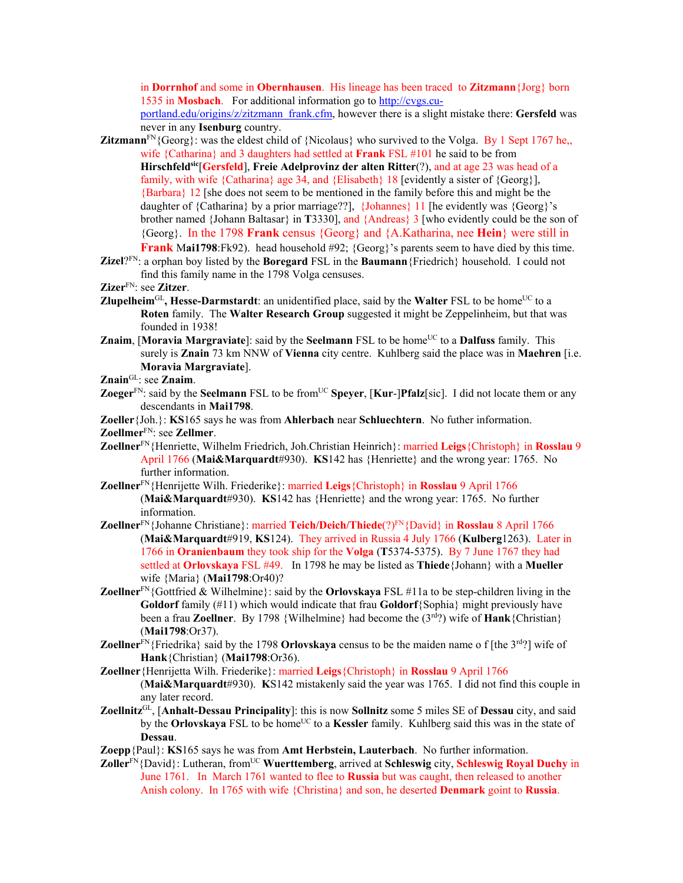in **Dorrnhof** and some in **Obernhausen**. His lineage has been traced to **Zitzmann**{Jorg} born 1535 in **Mosbach**. For additional information go to http://cvgs.cuportland.edu/origins/z/zitzmann\_frank.cfm, however there is a slight mistake there: **Gersfeld** was never in any **Isenburg** country.

- **Zitzmann**<sup>FN</sup>{Georg}: was the eldest child of {Nicolaus} who survived to the Volga. By 1 Sept 1767 he,, wife {Catharina} and 3 daughters had settled at **Frank** FSL #101 he said to be from **Hirschfeld<sup>sic</sup>**[Gersfeld], Freie Adelprovinz der alten Ritter(?), and at age 23 was head of a family, with wife {Catharina} age 34, and {Elisabeth} 18 [evidently a sister of {Georg}], {Barbara} 12 [she does not seem to be mentioned in the family before this and might be the daughter of {Catharina} by a prior marriage??], {Johannes} 11 [he evidently was {Georg}'s brother named {Johann Baltasar} in **T**3330], and {Andreas} 3 [who evidently could be the son of {Georg}. In the 1798 **Frank** census {Georg} and {A.Katharina, nee **Hein**} were still in **Frank** M**ai1798**:Fk92). head household #92; {Georg}'s parents seem to have died by this time.
- **Zizel**?FN: a orphan boy listed by the **Boregard** FSL in the **Baumann**{Friedrich} household. I could not find this family name in the 1798 Volga censuses.

**Zizer**FN: see **Zitzer**.

- **Zlupelheim**<sup>GL</sup>, Hesse-Darmstardt: an unidentified place, said by the Walter FSL to be home<sup>UC</sup> to a **Roten** family. The **Walter Research Group** suggested it might be Zeppelinheim, but that was founded in 1938!
- **Znaim, [Moravia Margraviate**]: said by the **Seelmann** FSL to be home<sup>UC</sup> to a **Dalfuss** family. This surely is **Znain** 73 km NNW of **Vienna** city centre. Kuhlberg said the place was in **Maehren** [i.e. **Moravia Margraviate**].
- **Znain**GL: see **Znaim**.
- **Zoeger**<sup>FN</sup>: said by the **Seelmann** FSL to be from<sup>UC</sup> **Speyer**, [**Kur-**]Pfalz[sic]. I did not locate them or any descendants in **Mai1798**.

**Zoeller**{Joh.}: **KS**165 says he was from **Ahlerbach** near **Schluechtern**. No futher information.

**Zoellmer**FN: see **Zellmer**.

- **Zoellner**FN{Henriette, Wilhelm Friedrich, Joh.Christian Heinrich}: married **Leigs**{Christoph} in **Rosslau** 9 April 1766 (**Mai&Marquardt**#930). **KS**142 has {Henriette} and the wrong year: 1765. No further information.
- **Zoellner**FN{Henrijette Wilh. Friederike}: married **Leigs**{Christoph} in **Rosslau** 9 April 1766 (**Mai&Marquardt**#930). **KS**142 has {Henriette} and the wrong year: 1765. No further information.
- **Zoellner**FN{Johanne Christiane}: married **Teich/Deich/Thiede**(?)FN{David} in **Rosslau** 8 April 1766 (**Mai&Marquardt**#919, **KS**124). They arrived in Russia 4 July 1766 (**Kulberg**1263). Later in 1766 in **Oranienbaum** they took ship for the **Volga** (**T**5374-5375). By 7 June 1767 they had settled at **Orlovskaya** FSL #49. In 1798 he may be listed as **Thiede**{Johann} with a **Mueller**  wife {Maria} (**Mai1798**:Or40)?
- **Zoellner**FN{Gottfried & Wilhelmine}: said by the **Orlovskaya** FSL #11a to be step-children living in the **Goldorf** family (#11) which would indicate that frau **Goldorf**{Sophia} might previously have been a frau **Zoellner**. By 1798 {Wilhelmine} had become the (3rd?) wife of **Hank**{Christian} (**Mai1798**:Or37).
- **Zoellner**<sup>FN</sup>{Friedrika} said by the 1798 **Orlovskaya** census to be the maiden name o f [the 3<sup>rd</sup>?] wife of **Hank**{Christian} (**Mai1798**:Or36).
- **Zoellner**{Henrijetta Wilh. Friederike}: married **Leigs**{Christoph} in **Rosslau** 9 April 1766 (**Mai&Marquardt**#930). **K**S142 mistakenly said the year was 1765. I did not find this couple in any later record.
- **Zoellnitz**GL, [**Anhalt-Dessau Principality**]: this is now **Sollnitz** some 5 miles SE of **Dessau** city, and said by the **Orlovskaya** FSL to be home<sup>UC</sup> to a **Kessler** family. Kuhlberg said this was in the state of **Dessau**.
- **Zoepp**{Paul}: **KS**165 says he was from **Amt Herbstein, Lauterbach**. No further information.
- **Zoller**FN{David}: Lutheran, from<sup>UC</sup> **Wuerttemberg**, arrived at **Schleswig** city, **Schleswig Royal Duchy** in June 1761. In March 1761 wanted to flee to **Russia** but was caught, then released to another Anish colony. In 1765 with wife {Christina} and son, he deserted **Denmark** goint to **Russia**.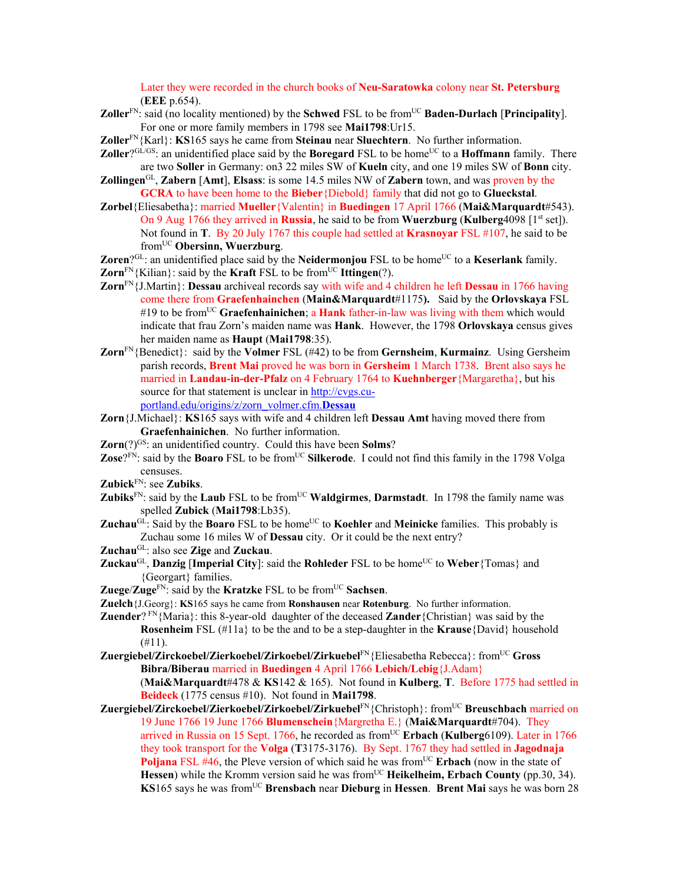Later they were recorded in the church books of **Neu-Saratowka** colony near **St. Petersburg** (**EEE** p.654).

- **Zoller**<sup>FN</sup>: said (no locality mentioned) by the **Schwed** FSL to be from<sup>UC</sup> **Baden-Durlach** [**Principality**]. For one or more family members in 1798 see **Mai1798**:Ur15.
- **Zoller**FN{Karl}: **KS**165 says he came from **Steinau** near **Sluechtern**. No further information.
- **Zoller**?GL/GS: an unidentified place said by the **Boregard** FSL to be home<sup>UC</sup> to a **Hoffmann** family. There are two **Soller** in Germany: on3 22 miles SW of **Kueln** city, and one 19 miles SW of **Bonn** city.
- **Zollingen**GL, **Zabern** [**Amt**], **Elsass**: is some 14.5 miles NW of **Zabern** town, and was proven by the **GCRA** to have been home to the **Bieber**{Diebold} family that did not go to **Glueckstal**.
- **Zorbel**{Eliesabetha}: married **Mueller**{Valentin} in **Buedingen** 17 April 1766 (**Mai&Marquardt**#543). On 9 Aug 1766 they arrived in **Russia**, he said to be from **Wuerzburg** (**Kulberg**4098 [1st set]). Not found in **T**. By 20 July 1767 this couple had settled at **Krasnoyar** FSL #107, he said to be fromUC **Obersinn, Wuerzburg**.
- **Zoren**?GL: an unidentified place said by the **Neidermonjou** FSL to be home<sup>UC</sup> to a **Keserlank** family.
- **Zorn** $F_N$ {Kilian}: said by the **Kraft** FSL to be from<sup>UC</sup> **Ittingen**(?).
- **Zorn**FN{J.Martin}: **Dessau** archiveal records say with wife and 4 children he left **Dessau** in 1766 having come there from **Graefenhainchen** (**Main&Marquardt**#1175**).** Said by the **Orlovskaya** FSL #19 to be fromUC **Graefenhainichen**; a **Hank** father-in-law was living with them which would indicate that frau Zorn's maiden name was **Hank**. However, the 1798 **Orlovskaya** census gives her maiden name as **Haupt** (**Mai1798**:35).
- **Zorn**FN{Benedict}: said by the **Volmer** FSL (#42) to be from **Gernsheim**, **Kurmainz**. Using Gersheim parish records, **Brent Mai** proved he was born in **Gersheim** 1 March 1738. Brent also says he married in **Landau-in-der-Pfalz** on 4 February 1764 to **Kuehnberger**{Margaretha}, but his source for that statement is unclear in http://cvgs.cuportland.edu/origins/z/zorn\_volmer.cfm.**Dessau**
- **Zorn**{J.Michael}: **KS**165 says with wife and 4 children left **Dessau Amt** having moved there from **Graefenhainichen**. No further information.
- **Zorn**(?)<sup>GS</sup>: an unidentified country. Could this have been **Solms**?
- **Zose**?FN: said by the **Boaro** FSL to be from<sup>UC</sup> Silkerode. I could not find this family in the 1798 Volga censuses.
- **Zubick**FN: see **Zubiks**.
- **Zubiks**<sup>FN</sup>: said by the **Laub** FSL to be from<sup>UC</sup> **Waldgirmes**, **Darmstadt**. In 1798 the family name was spelled **Zubick** (**Mai1798**:Lb35).
- **Zuchau<sup>GL</sup>:** Said by the **Boaro** FSL to be home<sup>UC</sup> to **Koehler** and **Meinicke** families. This probably is Zuchau some 16 miles W of **Dessau** city. Or it could be the next entry?
- **Zuchau**GL: also see **Zige** and **Zuckau**.
- **Zuckau<sup>GL</sup>, Danzig** [Imperial City]: said the Rohleder FSL to be home<sup>UC</sup> to Weber {Tomas} and {Georgart} families.
- **Zuege**/**Zuge**FN: said by the **Kratzke** FSL to be fromUC **Sachsen**.
- **Zuelch**{J.Georg}: **KS**165 says he came from **Ronshausen** near **Rotenburg**. No further information.

**Zuender**? FN{Maria}: this 8-year-old daughter of the deceased **Zander**{Christian} was said by the **Rosenheim** FSL (#11a} to be the and to be a step-daughter in the **Krause**{David} household  $(#11).$ 

**Zuergiebel/Zirckoebel/Zierkoebel/Zirkoebel/Zirkuebel**FN{Eliesabetha Rebecca}: fromUC **Gross Bibra/Biberau** married in **Buedingen** 4 April 1766 **Lebich/Lebig**{J.Adam} (**Mai&Marquardt**#478 & **KS**142 & 165). Not found in **Kulberg**, **T**. Before 1775 had settled in **Beideck** (1775 census #10). Not found in **Mai1798**.

**Zuergiebel/Zirckoebel/Zierkoebel/Zirkoebel/Zirkuebel**FN{Christoph}: fromUC **Breuschbach** married on 19 June 1766 19 June 1766 **Blumenschein**{Margretha E.} (**Mai&Marquardt**#704). They arrived in Russia on 15 Sept. 1766, he recorded as from<sup>UC</sup> Erbach (Kulberg6109). Later in 1766 they took transport for the **Volga** (**T**3175-3176). By Sept. 1767 they had settled in **Jagodnaja Poljana** FSL #46, the Pleve version of which said he was from<sup>UC</sup> **Erbach** (now in the state of **Hessen**) while the Kromm version said he was from<sup>UC</sup> **Heikelheim, Erbach County** (pp.30, 34). **KS**165 says he was fromUC **Brensbach** near **Dieburg** in **Hessen**. **Brent Mai** says he was born 28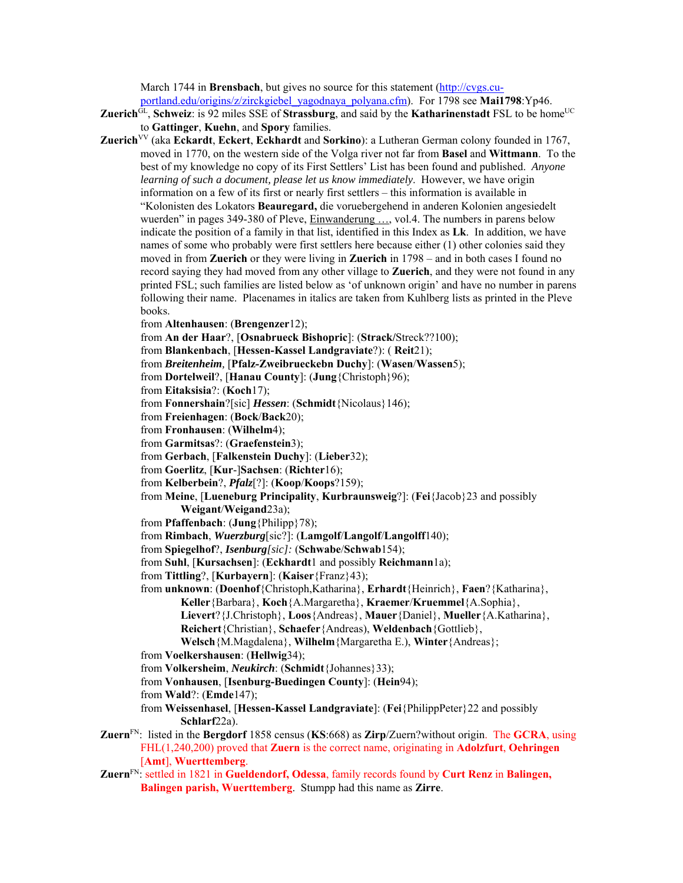March 1744 in **Brensbach**, but gives no source for this statement (http://cvgs.cuportland.edu/origins/z/zirckgiebel\_yagodnaya\_polyana.cfm). For 1798 see **Mai1798**:Yp46.

- **Zuerich**GL, Schweiz: is 92 miles SSE of Strassburg, and said by the **Katharinenstadt** FSL to be home<sup>UC</sup> to **Gattinger**, **Kuehn**, and **Spory** families.
- **Zuerich**<sup>VV</sup> (aka **Eckardt**, **Eckert**, **Eckhardt** and **Sorkino**): a Lutheran German colony founded in 1767, moved in 1770, on the western side of the Volga river not far from **Basel** and **Wittmann**. To the best of my knowledge no copy of its First Settlers' List has been found and published. *Anyone learning of such a document, please let us know immediately*. However, we have origin information on a few of its first or nearly first settlers – this information is available in "Kolonisten des Lokators **Beauregard,** die voruebergehend in anderen Kolonien angesiedelt wuerden" in pages 349-380 of Pleve, Einwanderung ..., vol.4. The numbers in parens below indicate the position of a family in that list, identified in this Index as **Lk**. In addition, we have names of some who probably were first settlers here because either (1) other colonies said they moved in from **Zuerich** or they were living in **Zuerich** in 1798 – and in both cases I found no record saying they had moved from any other village to **Zuerich**, and they were not found in any printed FSL; such families are listed below as 'of unknown origin' and have no number in parens following their name. Placenames in italics are taken from Kuhlberg lists as printed in the Pleve books.
	- from **Altenhausen**: (**Brengenzer**12);

from **An der Haar**?, [**Osnabrueck Bishopric**]: (**Strack/**Streck??100);

- from **Blankenbach**, [**Hessen-Kassel Landgraviate**?): ( **Reit**21);
- from *Breitenheim,* [**Pfalz-Zweibrueckebn Duchy**]: (**Wasen**/**Wassen**5);
- from **Dortelweil**?, [**Hanau County**]: (**Jung**{Christoph}96);

from **Eitaksisia**?: (**Koch**17);

- from **Fonnershain**?[sic] *Hessen*: (**Schmidt**{Nicolaus}146);
- from **Freienhagen**: (**Bock**/**Back**20);
- from **Fronhausen**: (**Wilhelm**4);
- from **Garmitsas**?: (**Graefenstein**3);
- from **Gerbach**, [**Falkenstein Duchy**]: (**Lieber**32);
- from **Goerlitz**, [**Kur**-]**Sachsen**: (**Richter**16);
- from **Kelberbein**?, *Pfalz*[?]: (**Koop**/**Koops**?159);
- from **Meine**, [**Lueneburg Principality**, **Kurbraunsweig**?]: (**Fei**{Jacob}23 and possibly **Weigant**/**Weigand**23a);
- from **Pfaffenbach**: (**Jung**{Philipp}78);
- from **Rimbach**, *Wuerzburg*[sic?]: (**Lamgolf**/**Langolf**/**Langolff**140);
- from **Spiegelhof**?, *Isenburg[sic]:* (**Schwabe**/**Schwab**154);
- from **Suhl**, [**Kursachsen**]: (**Eckhardt**1 and possibly **Reichmann**1a);
- from **Tittling**?, [**Kurbayern**]: (**Kaiser**{Franz}43);
- from **unknown**: (**Doenhof**{Christoph,Katharina}, **Erhardt**{Heinrich}, **Faen**?{Katharina}, **Keller**{Barbara}, **Koch**{A.Margaretha}, **Kraemer**/**Kruemmel**{A.Sophia}, **Lievert**?{J.Christoph}, **Loos**{Andreas}, **Mauer**{Daniel}, **Mueller**{A.Katharina}, **Reichert**{Christian}, **Schaefer**{Andreas), **Weldenbach**{Gottlieb},
	- **Welsch**{M.Magdalena}, **Wilhelm**{Margaretha E.), **Winter**{Andreas};
- from **Voelkershausen**: (**Hellwig**34);
- from **Volkersheim**, *Neukirch*: (**Schmidt**{Johannes}33);
- from **Vonhausen**, [**Isenburg-Buedingen County**]: (**Hein**94);
- from **Wald**?: (**Emde**147);
- from **Weissenhasel**, [**Hessen-Kassel Landgraviate**]: (**Fei**{PhilippPeter}22 and possibly **Schlarf**22a).
- **Zuern**FN: listed in the **Bergdorf** 1858 census (**KS**:668) as **Zirp**/Zuern?without origin. The **GCRA**, using FHL(1,240,200) proved that **Zuern** is the correct name, originating in **Adolzfurt**, **Oehringen** [**Amt**], **Wuerttemberg**.
- **Zuern**FN: settled in 1821 in **Gueldendorf, Odessa**, family records found by **Curt Renz** in **Balingen, Balingen parish, Wuerttemberg**. Stumpp had this name as **Zirre**.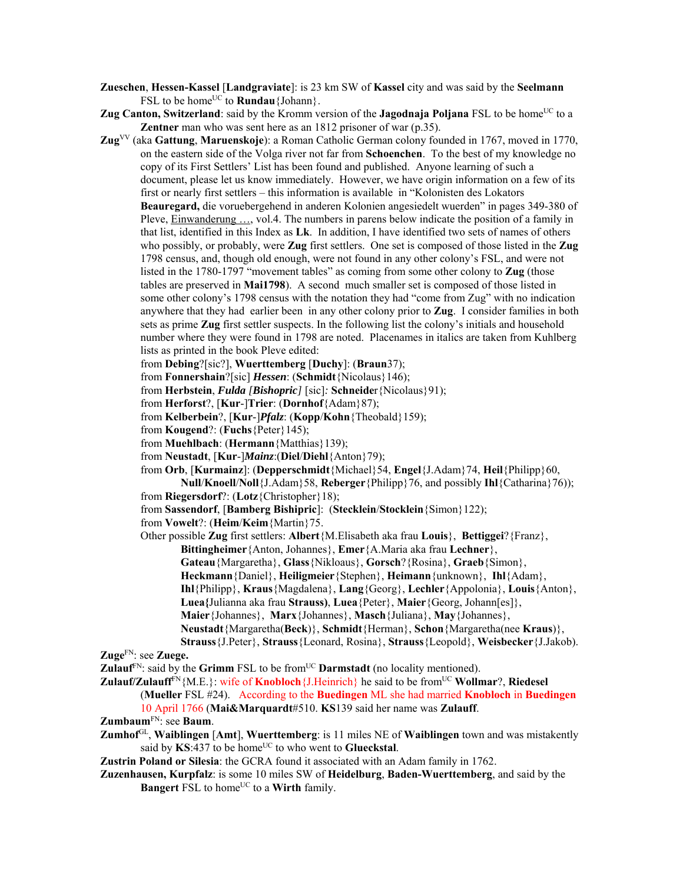- **Zueschen**, **Hessen-Kassel** [**Landgraviate**]: is 23 km SW of **Kassel** city and was said by the **Seelmann** FSL to be home<sup>UC</sup> to **Rundau**{Johann}.
- **Zug Canton, Switzerland**: said by the Kromm version of the **Jagodnaja Poljana** FSL to be home<sup>UC</sup> to a **Zentner** man who was sent here as an 1812 prisoner of war (p.35).
- **Zug**VV (aka **Gattung**, **Maruenskoje**): a Roman Catholic German colony founded in 1767, moved in 1770, on the eastern side of the Volga river not far from **Schoenchen**. To the best of my knowledge no copy of its First Settlers' List has been found and published. Anyone learning of such a document, please let us know immediately. However, we have origin information on a few of its first or nearly first settlers – this information is available in "Kolonisten des Lokators **Beauregard,** die voruebergehend in anderen Kolonien angesiedelt wuerden" in pages 349-380 of Pleve, Einwanderung …, vol.4. The numbers in parens below indicate the position of a family in that list, identified in this Index as **Lk**. In addition, I have identified two sets of names of others who possibly, or probably, were **Zug** first settlers. One set is composed of those listed in the **Zug** 1798 census, and, though old enough, were not found in any other colony's FSL, and were not listed in the 1780-1797 "movement tables" as coming from some other colony to **Zug** (those tables are preserved in **Mai1798**). A second much smaller set is composed of those listed in some other colony's 1798 census with the notation they had "come from Zug" with no indication anywhere that they had earlier been in any other colony prior to **Zug**. I consider families in both sets as prime **Zug** first settler suspects. In the following list the colony's initials and household number where they were found in 1798 are noted. Placenames in italics are taken from Kuhlberg lists as printed in the book Pleve edited:
	- from **Debing**?[sic?], **Wuerttemberg** [**Duchy**]: (**Braun**37);
	- from **Fonnershain**?[sic] *Hessen*: (**Schmidt**{Nicolaus}146);
	- from **Herbstein**, *Fulda [Bishopric]* [sic]*:* **Schneide**r{Nicolaus}91);
	- from **Herforst**?, [**Kur**-]**Trier**: (**Dornhof**{Adam}87);
	- from **Kelberbein**?, [**Kur**-]*Pfalz*: (**Kopp**/**Kohn**{Theobald}159);
	- from **Kougend**?: (**Fuchs**{Peter}145);
	- from **Muehlbach**: (**Hermann**{Matthias}139);
	- from **Neustadt**, [**Kur**-]*Mainz*:(**Diel**/**Diehl**{Anton}79);
	- from **Orb**, [**Kurmainz**]: (**Depperschmidt**{Michael}54, **Engel**{J.Adam}74, **Heil**{Philipp}60,

**Null**/**Knoell**/**Noll**{J.Adam}58, **Reberger**{Philipp}76, and possibly **Ihl**{Catharina}76)); from **Riegersdorf**?: (**Lotz**{Christopher}18);

- from **Sassendorf**, [**Bamberg Bishipric**]: (**Stecklein**/**Stocklein**{Simon}122);
- from **Vowelt**?: (**Heim**/**Keim**{Martin}75.

Other possible **Zug** first settlers: **Albert**{M.Elisabeth aka frau **Louis**}, **Bettiggei**?{Franz}, **Bittingheimer**{Anton, Johannes}, **Emer**{A.Maria aka frau **Lechner**},

- **Gateau**{Margaretha}, **Glass**{Nikloaus}, **Gorsch**?{Rosina}, **Graeb**{Simon},
- **Heckmann**{Daniel}, **Heiligmeier**{Stephen}, **Heimann**{unknown}, **Ihl**{Adam},
- **Ihl**{Philipp}, **Kraus**{Magdalena}, **Lang**{Georg}, **Lechler**{Appolonia}, **Louis**{Anton},
- **Luea{**Julianna aka frau **Strauss)**, **Luea**{Peter}, **Maier**{Georg, Johann[es]},
- **Maier**{Johannes}, **Marx**{Johannes}, **Masch**{Juliana}, **May**{Johannes},
- **Neustadt**{Margaretha(**Beck**)}, **Schmidt**{Herman}, **Schon**{Margaretha(nee **Kraus**)},
- **Strauss**{J.Peter}, **Strauss**{Leonard, Rosina}, **Strauss**{Leopold}, **Weisbecker**{J.Jakob). **Zuge**FN: see **Zuege.**
- **Zulauf**<sup>FN</sup>: said by the **Grimm** FSL to be from<sup>UC</sup> **Darmstadt** (no locality mentioned).
- **Zulauf/Zulauff<sup>FN</sup>{M.E.}: wife of Knobloch**{J.Heinrich} he said to be from<sup>UC</sup> **Wollmar**?, **Riedesel** (**Mueller** FSL #24). According to the **Buedingen** ML she had married **Knobloch** in **Buedingen**
	- 10 April 1766 (**Mai&Marquardt**#510. **KS**139 said her name was **Zulauff**.
- **Zumbaum**FN: see **Baum**.
- **Zumhof**GL, **Waiblingen** [**Amt**], **Wuerttemberg**: is 11 miles NE of **Waiblingen** town and was mistakently said by  $KS:437$  to be home<sup>UC</sup> to who went to **Glueckstal**.
- **Zustrin Poland or Silesia**: the GCRA found it associated with an Adam family in 1762.
- **Zuzenhausen, Kurpfalz**: is some 10 miles SW of **Heidelburg**, **Baden-Wuerttemberg**, and said by the **Bangert** FSL to home<sup>UC</sup> to a **Wirth** family.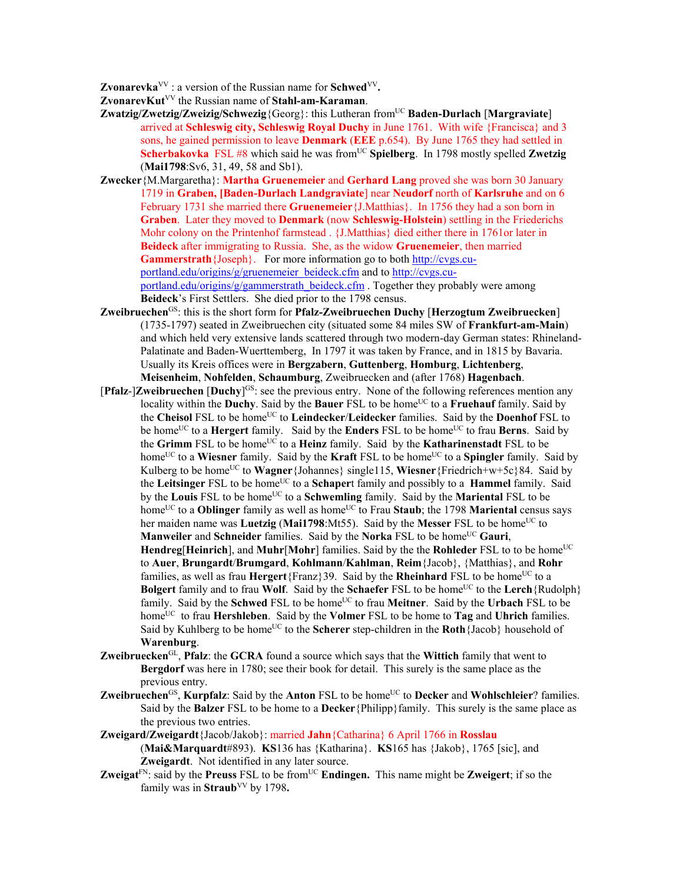**Zvonarevka**<sup>VV</sup>: a version of the Russian name for **Schwed**<sup>VV</sup>.

**ZvonarevKut**VV the Russian name of **Stahl-am-Karaman**.

- **Zwatzig/Zwetzig/Zweizig/Schwezig**{Georg}: this Lutheran fromUC **Baden-Durlach** [**Margraviate**] arrived at **Schleswig city, Schleswig Royal Duchy** in June 1761. With wife {Francisca} and 3 sons, he gained permission to leave **Denmark** (**EEE** p.654). By June 1765 they had settled in **Scherbakovka** FSL #8 which said he was from<sup>UC</sup> Spielberg. In 1798 mostly spelled Zwetzig (**Mai1798**:Sv6, 31, 49, 58 and Sb1).
- **Zwecker**{M.Margaretha}: **Martha Gruenemeier** and **Gerhard Lang** proved she was born 30 January 1719 in **Graben, [Baden-Durlach Landgraviate**] near **Neudorf** north of **Karlsruhe** and on 6 February 1731 she married there **Gruenemeier**{J.Matthias}. In 1756 they had a son born in **Graben**. Later they moved to **Denmark** (now **Schleswig-Holstein**) settling in the Friederichs Mohr colony on the Printenhof farmstead . {J.Matthias} died either there in 1761or later in **Beideck** after immigrating to Russia. She, as the widow **Gruenemeier**, then married **Gammerstrath** {Joseph}. For more information go to both http://cvgs.cuportland.edu/origins/g/gruenemeier\_beideck.cfm and to http://cvgs.cuportland.edu/origins/g/gammerstrath\_beideck.cfm . Together they probably were among **Beideck**'s First Settlers. She died prior to the 1798 census.
- **Zweibruechen**GS: this is the short form for **Pfalz-Zweibruechen Duchy** [**Herzogtum Zweibruecken**] (1735-1797) seated in Zweibruechen city (situated some 84 miles SW of **Frankfurt-am-Main**) and which held very extensive lands scattered through two modern-day German states: Rhineland-Palatinate and Baden-Wuerttemberg, In 1797 it was taken by France, and in 1815 by Bavaria. Usually its Kreis offices were in **Bergzabern**, **Guttenberg**, **Homburg**, **Lichtenberg**, **Meisenheim**, **Nohfelden**, **Schaumburg**, Zweibruecken and (after 1768) **Hagenbach**.
- [**Pfalz**-]**Zweibruechen** [**Duchy**] GS: see the previous entry. None of the following references mention any locality within the **Duchy**. Said by the **Bauer** FSL to be home<sup>UC</sup> to a **Fruehauf** family. Said by the **Cheisol** FSL to be home<sup>UC</sup> to **Leindecker/Leidecker** families. Said by the **Doenhof** FSL to be homeUC to a **Hergert** family. Said by the **Enders** FSL to be homeUC to frau **Berns**. Said by the **Grimm** FSL to be home<sup>UC</sup> to a **Heinz** family. Said by the **Katharinenstadt** FSL to be home<sup>UC</sup> to a **Wiesner** family. Said by the **Kraft** FSL to be home<sup>UC</sup> to a **Spingler** family. Said by Kulberg to be home<sup>UC</sup> to **Wagner**{Johannes} single115, **Wiesner**{Friedrich+w+5c}84. Said by the Leitsinger FSL to be home<sup>UC</sup> to a Schapert family and possibly to a **Hammel** family. Said by the **Louis** FSL to be home<sup>UC</sup> to a **Schwemling** family. Said by the **Mariental** FSL to be home<sup>UC</sup> to a **Oblinger** family as well as home<sup>UC</sup> to Frau Staub; the 1798 Mariental census says her maiden name was **Luetzig** (Mai1798:Mt55). Said by the Messer FSL to be home<sup>UC</sup> to **Manweiler** and **Schneider** families. Said by the **Norka** FSL to be home<sup>UC</sup> Gauri, **Hendreg**[Heinrich], and Muhr<sup>[</sup>Mohr] families. Said by the the **Rohleder** FSL to to be home<sup>UC</sup> to **Auer**, **Brungardt**/**Brumgard**, **Kohlmann**/**Kahlman**, **Reim**{Jacob}, {Matthias}, and **Rohr** families, as well as frau **Hergert** ${frac}$ 39. Said by the **Rheinhard** FSL to be home<sup>UC</sup> to a **Bolgert** family and to frau Wolf. Said by the **Schaefer** FSL to be home<sup>UC</sup> to the Lerch {Rudolph} family. Said by the **Schwed** FSL to be home<sup>UC</sup> to frau **Meitner**. Said by the **Urbach** FSL to be homeUC to frau **Hershleben**. Said by the **Volmer** FSL to be home to **Tag** and **Uhrich** families. Said by Kuhlberg to be home<sup>UC</sup> to the **Scherer** step-children in the **Roth**{Jacob} household of **Warenburg**.
- **Zweibruecken**GL, **Pfalz**: the **GCRA** found a source which says that the **Wittich** family that went to **Bergdorf** was here in 1780; see their book for detail. This surely is the same place as the previous entry.
- **Zweibruechen<sup>GS</sup>, Kurpfalz**: Said by the **Anton** FSL to be home<sup>UC</sup> to **Decker** and **Wohlschleier**? families. Said by the **Balzer** FSL to be home to a **Decker**{Philipp}family. This surely is the same place as the previous two entries.
- **Zweigard/Zweigardt**{Jacob/Jakob}: married **Jahn**{Catharina} 6 April 1766 in **Rosslau**  (**Mai&Marquardt**#893). **KS**136 has {Katharina}. **KS**165 has {Jakob}, 1765 [sic], and **Zweigardt**. Not identified in any later source.
- **Zweigat**<sup>FN</sup>: said by the **Preuss** FSL to be from<sup>UC</sup> **Endingen.** This name might be **Zweigert**; if so the family was in **Straub**<sup>VV</sup> by 1798.